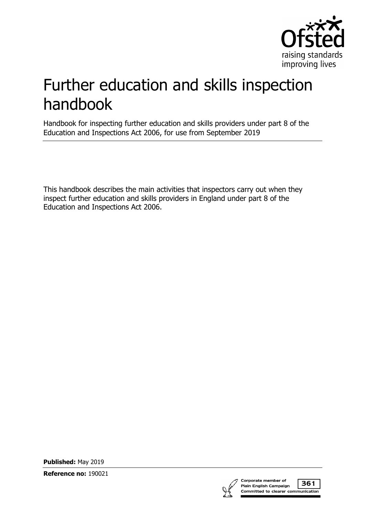

# Further education and skills inspection handbook

Handbook for inspecting further education and skills providers under part 8 of the Education and Inspections Act 2006, for use from September 2019

This handbook describes the main activities that inspectors carry out when they inspect further education and skills providers in England under part 8 of the Education and Inspections Act 2006.

**Published:** May 2019

**Reference no:** 190021



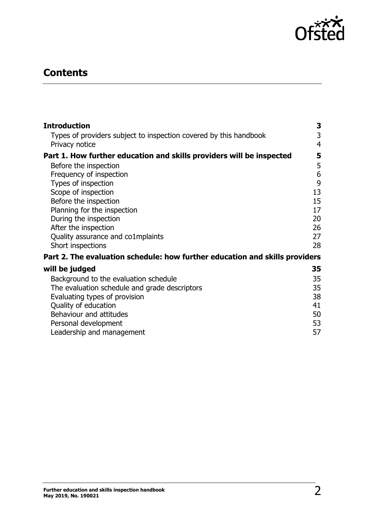

## **Contents**

| <b>Introduction</b>                                                         | 3              |
|-----------------------------------------------------------------------------|----------------|
| Types of providers subject to inspection covered by this handbook           | 3              |
| Privacy notice                                                              | $\overline{4}$ |
| Part 1. How further education and skills providers will be inspected        | 5              |
| Before the inspection                                                       | 5              |
| Frequency of inspection                                                     | 6              |
| Types of inspection                                                         | 9              |
| Scope of inspection                                                         | 13             |
| Before the inspection                                                       | 15             |
| Planning for the inspection                                                 | 17             |
| During the inspection                                                       | 20             |
| After the inspection                                                        | 26             |
| Quality assurance and co1mplaints                                           | 27             |
| Short inspections                                                           | 28             |
| Part 2. The evaluation schedule: how further education and skills providers |                |
| will be judged                                                              | 35             |
| Background to the evaluation schedule                                       | 35             |
| The evaluation schedule and grade descriptors                               | 35             |
| Evaluating types of provision                                               | 38             |
| Quality of education                                                        | 41             |
| Behaviour and attitudes                                                     | 50             |
| Personal development                                                        | 53             |
| Leadership and management                                                   | 57             |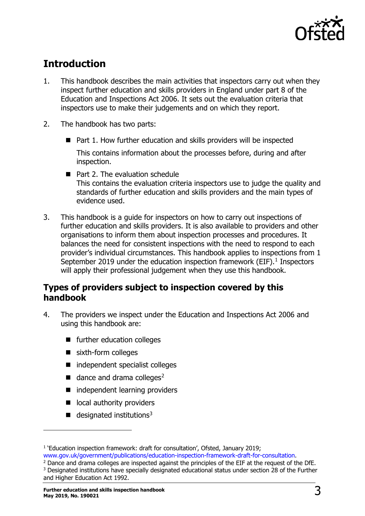

## <span id="page-2-0"></span>**Introduction**

- 1. This handbook describes the main activities that inspectors carry out when they inspect further education and skills providers in England under part 8 of the Education and Inspections Act 2006. It sets out the evaluation criteria that inspectors use to make their judgements and on which they report.
- 2. The handbook has two parts:
	- Part 1. How further education and skills providers will be inspected This contains information about the processes before, during and after inspection.
	- Part 2. The evaluation schedule This contains the evaluation criteria inspectors use to judge the quality and standards of further education and skills providers and the main types of evidence used.
- 3. This handbook is a guide for inspectors on how to carry out inspections of further education and skills providers. It is also available to providers and other organisations to inform them about inspection processes and procedures. It balances the need for consistent inspections with the need to respond to each provider's individual circumstances. This handbook applies to inspections from 1 September 20[1](#page-2-2)9 under the education inspection framework (EIF). $<sup>1</sup>$  Inspectors</sup> will apply their professional judgement when they use this handbook.

## <span id="page-2-1"></span>**Types of providers subject to inspection covered by this handbook**

- 4. The providers we inspect under the Education and Inspections Act 2006 and using this handbook are:
	- **F** further education colleges
	- sixth-form colleges
	- independent specialist colleges
	- $\blacksquare$  dance and drama colleges<sup>[2](#page-2-3)</sup>
	- independent learning providers
	- ocal authority providers
	- $\blacksquare$  designated institutions<sup>[3](#page-2-4)</sup>

ł

<span id="page-2-3"></span><sup>2</sup> Dance and drama colleges are inspected against the principles of the EIF at the request of the DfE.

<span id="page-2-2"></span><sup>&</sup>lt;sup>1</sup> 'Education inspection framework: draft for consultation', Ofsted, January 2019; [www.gov.uk/government/publications/education-inspection-framework-draft-for-consultation.](http://www.gov.uk/government/publications/education-inspection-framework-draft-for-consultation)

<span id="page-2-4"></span><sup>&</sup>lt;sup>3</sup> Designated institutions have specially designated educational status under section 28 of the Further and Higher Education Act 1992.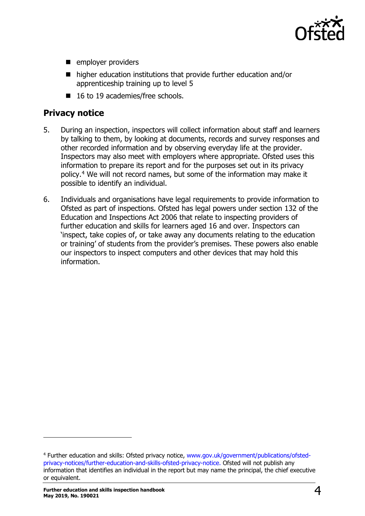

- **employer providers**
- higher education institutions that provide further education and/or apprenticeship training up to level 5
- 16 to 19 academies/free schools.

## <span id="page-3-0"></span>**Privacy notice**

- 5. During an inspection, inspectors will collect information about staff and learners by talking to them, by looking at documents, records and survey responses and other recorded information and by observing everyday life at the provider. Inspectors may also meet with employers where appropriate. Ofsted uses this information to prepare its report and for the purposes set out in its privacy policy.[4](#page-3-1) We will not record names, but some of the information may make it possible to identify an individual.
- 6. Individuals and organisations have legal requirements to provide information to Ofsted as part of inspections. Ofsted has legal powers under section 132 of the Education and Inspections Act 2006 that relate to inspecting providers of further education and skills for learners aged 16 and over. Inspectors can 'inspect, take copies of, or take away any documents relating to the education or training' of students from the provider's premises. These powers also enable our inspectors to inspect computers and other devices that may hold this information.

<span id="page-3-1"></span><sup>4</sup> Further education and skills: Ofsted privacy notice, [www.gov.uk/government/publications/ofsted](https://www.gov.uk/government/publications/ofsted-privacy-notices/further-education-and-skills-ofsted-privacy-notice)[privacy-notices/further-education-and-skills-ofsted-privacy-notice.](https://www.gov.uk/government/publications/ofsted-privacy-notices/further-education-and-skills-ofsted-privacy-notice) Ofsted will not publish any information that identifies an individual in the report but may name the principal, the chief executive or equivalent.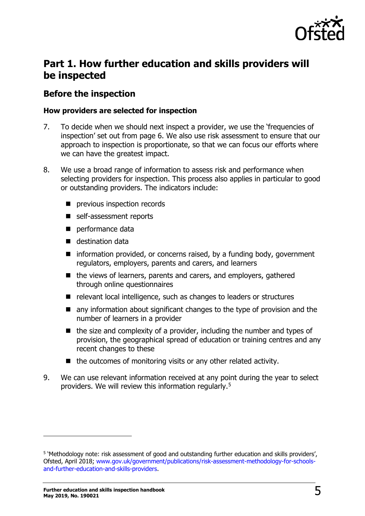

## <span id="page-4-0"></span>**Part 1. How further education and skills providers will be inspected**

## <span id="page-4-1"></span>**Before the inspection**

#### **How providers are selected for inspection**

- 7. To decide when we should next inspect a provider, we use the 'frequencies of inspection' set out from page 6. We also use risk assessment to ensure that our approach to inspection is proportionate, so that we can focus our efforts where we can have the greatest impact.
- 8. We use a broad range of information to assess risk and performance when selecting providers for inspection. This process also applies in particular to good or outstanding providers. The indicators include:
	- **P** previous inspection records
	- self-assessment reports
	- performance data
	- destination data
	- $\blacksquare$  information provided, or concerns raised, by a funding body, government regulators, employers, parents and carers, and learners
	- the views of learners, parents and carers, and employers, gathered through online questionnaires
	- relevant local intelligence, such as changes to leaders or structures
	- **n** any information about significant changes to the type of provision and the number of learners in a provider
	- $\blacksquare$  the size and complexity of a provider, including the number and types of provision, the geographical spread of education or training centres and any recent changes to these
	- $\blacksquare$  the outcomes of monitoring visits or any other related activity.
- 9. We can use relevant information received at any point during the year to select providers. We will review this information regularly.[5](#page-4-2)

<span id="page-4-2"></span><sup>&</sup>lt;sup>5</sup> 'Methodology note: risk assessment of good and outstanding further education and skills providers', Ofsted, April 2018; [www.gov.uk/government/publications/risk-assessment-methodology-for-schools](https://www.gov.uk/government/publications/risk-assessment-methodology-for-schools-and-further-education-and-skills-providers)[and-further-education-and-skills-providers.](https://www.gov.uk/government/publications/risk-assessment-methodology-for-schools-and-further-education-and-skills-providers)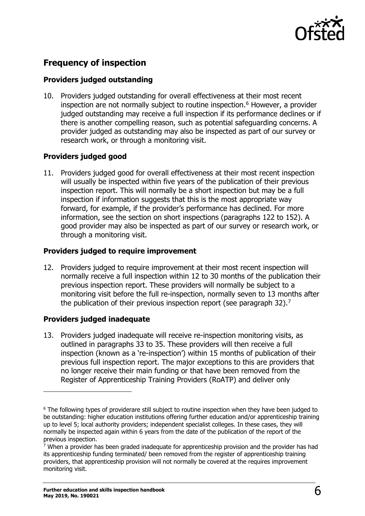

## <span id="page-5-0"></span>**Frequency of inspection**

#### **Providers judged outstanding**

10. Providers judged outstanding for overall effectiveness at their most recent inspection are not normally subject to routine inspection.<sup>[6](#page-5-1)</sup> However, a provider judged outstanding may receive a full inspection if its performance declines or if there is another compelling reason, such as potential safeguarding concerns. A provider judged as outstanding may also be inspected as part of our survey or research work, or through a monitoring visit.

#### **Providers judged good**

11. Providers judged good for overall effectiveness at their most recent inspection will usually be inspected within five years of the publication of their previous inspection report. This will normally be a short inspection but may be a full inspection if information suggests that this is the most appropriate way forward, for example, if the provider's performance has declined. For more information, see the section on short inspections (paragraphs 122 to 152). A good provider may also be inspected as part of our survey or research work, or through a monitoring visit.

#### **Providers judged to require improvement**

12. Providers judged to require improvement at their most recent inspection will normally receive a full inspection within 12 to 30 months of the publication their previous inspection report. These providers will normally be subject to a monitoring visit before the full re-inspection, normally seven to 13 months after the publication of their previous inspection report (see paragraph 32).<sup>[7](#page-5-2)</sup>

#### **Providers judged inadequate**

13. Providers judged inadequate will receive re-inspection monitoring visits, as outlined in paragraphs 33 to 35. These providers will then receive a full inspection (known as a 're-inspection') within 15 months of publication of their previous full inspection report. The major exceptions to this are providers that no longer receive their main funding or that have been removed from the Register of Apprenticeship Training Providers (RoATP) and deliver only

<span id="page-5-1"></span><sup>&</sup>lt;sup>6</sup> The following types of providerare still subject to routine inspection when they have been judged to be outstanding: higher education institutions offering further education and/or apprenticeship training up to level 5; local authority providers; independent specialist colleges. In these cases, they will normally be inspected again within 6 years from the date of the publication of the report of the previous inspection.

<span id="page-5-2"></span> $\overline{7}$  When a provider has been graded inadequate for apprenticeship provision and the provider has had its apprenticeship funding terminated/ been removed from the register of apprenticeship training providers, that apprenticeship provision will not normally be covered at the requires improvement monitoring visit.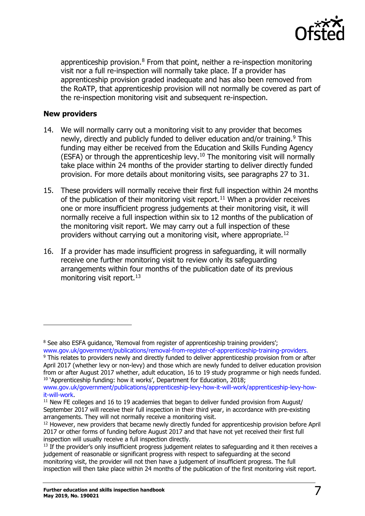

apprenticeship provision.<sup>[8](#page-6-0)</sup> From that point, neither a re-inspection monitoring visit nor a full re-inspection will normally take place. If a provider has apprenticeship provision graded inadequate and has also been removed from the RoATP, that apprenticeship provision will not normally be covered as part of the re-inspection monitoring visit and subsequent re-inspection.

#### **New providers**

- 14. We will normally carry out a monitoring visit to any provider that becomes newly, directly and publicly funded to deliver education and/or training.<sup>[9](#page-6-1)</sup> This funding may either be received from the Education and Skills Funding Agency  $(ESFA)$  or through the apprenticeship levy.<sup>[10](#page-6-2)</sup> The monitoring visit will normally take place within 24 months of the provider starting to deliver directly funded provision. For more details about monitoring visits, see paragraphs 27 to 31.
- 15. These providers will normally receive their first full inspection within 24 months of the publication of their monitoring visit report.<sup>[11](#page-6-3)</sup> When a provider receives one or more insufficient progress judgements at their monitoring visit, it will normally receive a full inspection within six to 12 months of the publication of the monitoring visit report. We may carry out a full inspection of these providers without carrying out a monitoring visit, where appropriate.[12](#page-6-4)
- 16. If a provider has made insufficient progress in safeguarding, it will normally receive one further monitoring visit to review only its safeguarding arrangements within four months of the publication date of its previous monitoring visit report.<sup>[13](#page-6-5)</sup>

<span id="page-6-0"></span><sup>&</sup>lt;sup>8</sup> See also ESFA guidance, 'Removal from register of apprenticeship training providers'; [www.gov.uk/government/publications/removal-from-register-of-apprenticeship-training-providers.](http://www.gov.uk/government/publications/removal-from-register-of-apprenticeship-training-providers)

<span id="page-6-1"></span><sup>&</sup>lt;sup>9</sup> This relates to providers newly and directly funded to deliver apprenticeship provision from or after April 2017 (whether levy or non-levy) and those which are newly funded to deliver education provision from or after August 2017 whether, adult education, 16 to 19 study programme or high needs funded. <sup>10</sup> 'Apprenticeship funding: how it works', Department for Education, 2018;

<span id="page-6-2"></span>[www.gov.uk/government/publications/apprenticeship-levy-how-it-will-work/apprenticeship-levy-how](http://www.gov.uk/government/publications/apprenticeship-levy-how-it-will-work/apprenticeship-levy-how-it-will-work)[it-will-work.](http://www.gov.uk/government/publications/apprenticeship-levy-how-it-will-work/apprenticeship-levy-how-it-will-work)

<span id="page-6-3"></span> $11$  New FE colleges and 16 to 19 academies that began to deliver funded provision from August/ September 2017 will receive their full inspection in their third year, in accordance with pre-existing arrangements. They will not normally receive a monitoring visit.

<span id="page-6-4"></span><sup>&</sup>lt;sup>12</sup> However, new providers that became newly directly funded for apprenticeship provision before April 2017 or other forms of funding before August 2017 and that have not yet received their first full inspection will usually receive a full inspection directly.

<span id="page-6-5"></span><sup>&</sup>lt;sup>13</sup> If the provider's only insufficient progress judgement relates to safeguarding and it then receives a judgement of reasonable or significant progress with respect to safeguarding at the second monitoring visit, the provider will not then have a judgement of insufficient progress. The full inspection will then take place within 24 months of the publication of the first monitoring visit report.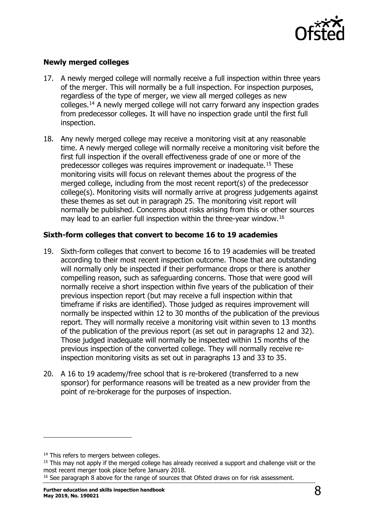

#### **Newly merged colleges**

- 17. A newly merged college will normally receive a full inspection within three years of the merger. This will normally be a full inspection. For inspection purposes, regardless of the type of merger, we view all merged colleges as new colleges.[14](#page-7-0) A newly merged college will not carry forward any inspection grades from predecessor colleges. It will have no inspection grade until the first full inspection.
- 18. Any newly merged college may receive a monitoring visit at any reasonable time. A newly merged college will normally receive a monitoring visit before the first full inspection if the overall effectiveness grade of one or more of the predecessor colleges was requires improvement or inadequate.[15](#page-7-1) These monitoring visits will focus on relevant themes about the progress of the merged college, including from the most recent report(s) of the predecessor college(s). Monitoring visits will normally arrive at progress judgements against these themes as set out in paragraph 25. The monitoring visit report will normally be published. Concerns about risks arising from this or other sources may lead to an earlier full inspection within the three-year window.[16](#page-7-2)

#### **Sixth-form colleges that convert to become 16 to 19 academies**

- 19. Sixth-form colleges that convert to become 16 to 19 academies will be treated according to their most recent inspection outcome. Those that are outstanding will normally only be inspected if their performance drops or there is another compelling reason, such as safeguarding concerns. Those that were good will normally receive a short inspection within five years of the publication of their previous inspection report (but may receive a full inspection within that timeframe if risks are identified). Those judged as requires improvement will normally be inspected within 12 to 30 months of the publication of the previous report. They will normally receive a monitoring visit within seven to 13 months of the publication of the previous report (as set out in paragraphs 12 and 32). Those judged inadequate will normally be inspected within 15 months of the previous inspection of the converted college. They will normally receive reinspection monitoring visits as set out in paragraphs 13 and 33 to 35.
- 20. A 16 to 19 academy/free school that is re-brokered (transferred to a new sponsor) for performance reasons will be treated as a new provider from the point of re-brokerage for the purposes of inspection.

<span id="page-7-0"></span><sup>&</sup>lt;sup>14</sup> This refers to mergers between colleges.

<span id="page-7-1"></span><sup>&</sup>lt;sup>15</sup> This may not apply if the merged college has already received a support and challenge visit or the most recent merger took place before January 2018.

<span id="page-7-2"></span><sup>&</sup>lt;sup>16</sup> See paragraph 8 above for the range of sources that Ofsted draws on for risk assessment.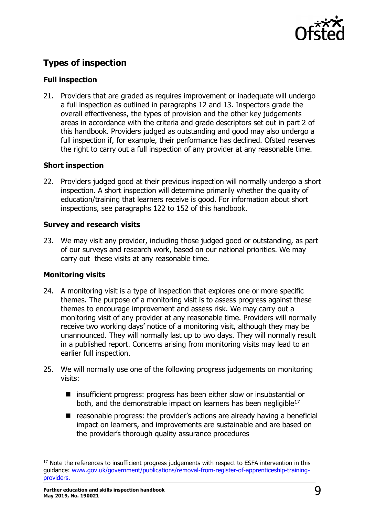

## <span id="page-8-0"></span>**Types of inspection**

#### **Full inspection**

21. Providers that are graded as requires improvement or inadequate will undergo a full inspection as outlined in paragraphs 12 and 13. Inspectors grade the overall effectiveness, the types of provision and the other key judgements areas in accordance with the criteria and grade descriptors set out in part 2 of this handbook. Providers judged as outstanding and good may also undergo a full inspection if, for example, their performance has declined. Ofsted reserves the right to carry out a full inspection of any provider at any reasonable time.

#### **Short inspection**

22. Providers judged good at their previous inspection will normally undergo a short inspection. A short inspection will determine primarily whether the quality of education/training that learners receive is good. For information about short inspections, see paragraphs 122 to 152 of this handbook.

#### **Survey and research visits**

23. We may visit any provider, including those judged good or outstanding, as part of our surveys and research work, based on our national priorities. We may carry out these visits at any reasonable time.

#### **Monitoring visits**

- 24. A monitoring visit is a type of inspection that explores one or more specific themes. The purpose of a monitoring visit is to assess progress against these themes to encourage improvement and assess risk. We may carry out a monitoring visit of any provider at any reasonable time. Providers will normally receive two working days' notice of a monitoring visit, although they may be unannounced. They will normally last up to two days. They will normally result in a published report. Concerns arising from monitoring visits may lead to an earlier full inspection.
- 25. We will normally use one of the following progress judgements on monitoring visits:
	- insufficient progress: progress has been either slow or insubstantial or both, and the demonstrable impact on learners has been negligible<sup>[17](#page-8-1)</sup>
	- reasonable progress: the provider's actions are already having a beneficial impact on learners, and improvements are sustainable and are based on the provider's thorough quality assurance procedures

<span id="page-8-1"></span><sup>&</sup>lt;sup>17</sup> Note the references to insufficient progress judgements with respect to ESFA intervention in this guidance: [www.gov.uk/government/publications/removal-from-register-of-apprenticeship-training](https://www.gov.uk/government/publications/removal-from-register-of-apprenticeship-training-providers)[providers.](https://www.gov.uk/government/publications/removal-from-register-of-apprenticeship-training-providers)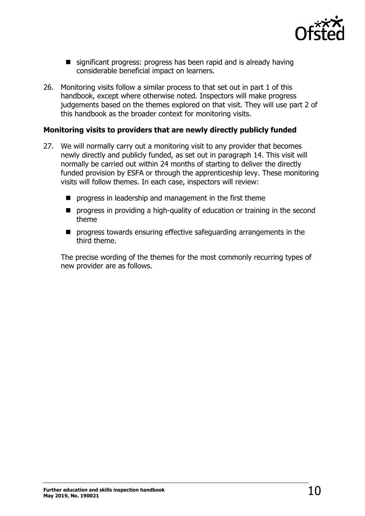

- significant progress: progress has been rapid and is already having considerable beneficial impact on learners.
- 26. Monitoring visits follow a similar process to that set out in part 1 of this handbook, except where otherwise noted. Inspectors will make progress judgements based on the themes explored on that visit. They will use part 2 of this handbook as the broader context for monitoring visits.

#### **Monitoring visits to providers that are newly directly publicly funded**

- 27. We will normally carry out a monitoring visit to any provider that becomes newly directly and publicly funded, as set out in paragraph 14. This visit will normally be carried out within 24 months of starting to deliver the directly funded provision by ESFA or through the apprenticeship levy. These monitoring visits will follow themes. In each case, inspectors will review:
	- **P** progress in leadership and management in the first theme
	- **P** progress in providing a high-quality of education or training in the second theme
	- **P** progress towards ensuring effective safeguarding arrangements in the third theme.

The precise wording of the themes for the most commonly recurring types of new provider are as follows.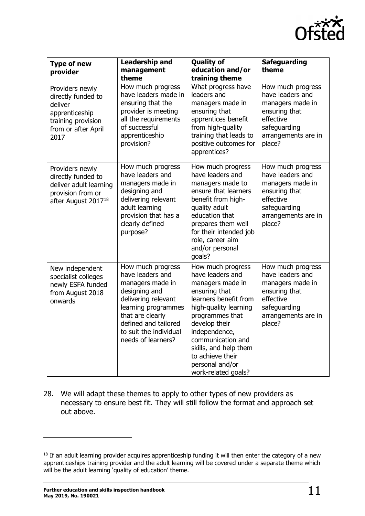

| <b>Type of new</b><br>provider                                                                                          | <b>Leadership and</b><br>management<br>theme                                                                                                                                                                         | <b>Quality of</b><br>education and/or<br>training theme                                                                                                                                                                                                                                       | <b>Safeguarding</b><br>theme                                                                                                             |
|-------------------------------------------------------------------------------------------------------------------------|----------------------------------------------------------------------------------------------------------------------------------------------------------------------------------------------------------------------|-----------------------------------------------------------------------------------------------------------------------------------------------------------------------------------------------------------------------------------------------------------------------------------------------|------------------------------------------------------------------------------------------------------------------------------------------|
| Providers newly<br>directly funded to<br>deliver<br>apprenticeship<br>training provision<br>from or after April<br>2017 | How much progress<br>have leaders made in<br>ensuring that the<br>provider is meeting<br>all the requirements<br>of successful<br>apprenticeship<br>provision?                                                       | What progress have<br>leaders and<br>managers made in<br>ensuring that<br>apprentices benefit<br>from high-quality<br>training that leads to<br>positive outcomes for<br>apprentices?                                                                                                         | How much progress<br>have leaders and<br>managers made in<br>ensuring that<br>effective<br>safeguarding<br>arrangements are in<br>place? |
| Providers newly<br>directly funded to<br>deliver adult learning<br>provision from or<br>after August 2017 <sup>18</sup> | How much progress<br>have leaders and<br>managers made in<br>designing and<br>delivering relevant<br>adult learning<br>provision that has a<br>clearly defined<br>purpose?                                           | How much progress<br>have leaders and<br>managers made to<br>ensure that learners<br>benefit from high-<br>quality adult<br>education that<br>prepares them well<br>for their intended job<br>role, career aim<br>and/or personal<br>goals?                                                   | How much progress<br>have leaders and<br>managers made in<br>ensuring that<br>effective<br>safeguarding<br>arrangements are in<br>place? |
| New independent<br>specialist colleges<br>newly ESFA funded<br>from August 2018<br>onwards                              | How much progress<br>have leaders and<br>managers made in<br>designing and<br>delivering relevant<br>learning programmes<br>that are clearly<br>defined and tailored<br>to suit the individual<br>needs of learners? | How much progress<br>have leaders and<br>managers made in<br>ensuring that<br>learners benefit from<br>high-quality learning<br>programmes that<br>develop their<br>independence,<br>communication and<br>skills, and help them<br>to achieve their<br>personal and/or<br>work-related goals? | How much progress<br>have leaders and<br>managers made in<br>ensuring that<br>effective<br>safeguarding<br>arrangements are in<br>place? |

28. We will adapt these themes to apply to other types of new providers as necessary to ensure best fit. They will still follow the format and approach set out above.

<span id="page-10-0"></span><sup>&</sup>lt;sup>18</sup> If an adult learning provider acquires apprenticeship funding it will then enter the category of a new apprenticeships training provider and the adult learning will be covered under a separate theme which will be the adult learning 'quality of education' theme.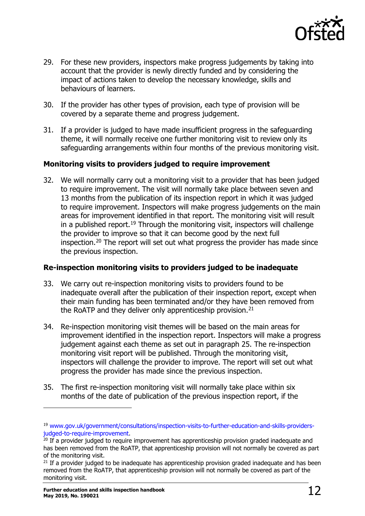

- 29. For these new providers, inspectors make progress judgements by taking into account that the provider is newly directly funded and by considering the impact of actions taken to develop the necessary knowledge, skills and behaviours of learners.
- 30. If the provider has other types of provision, each type of provision will be covered by a separate theme and progress judgement.
- 31. If a provider is judged to have made insufficient progress in the safeguarding theme, it will normally receive one further monitoring visit to review only its safeguarding arrangements within four months of the previous monitoring visit.

#### **Monitoring visits to providers judged to require improvement**

32. We will normally carry out a monitoring visit to a provider that has been judged to require improvement. The visit will normally take place between seven and 13 months from the publication of its inspection report in which it was judged to require improvement. Inspectors will make progress judgements on the main areas for improvement identified in that report. The monitoring visit will result in a published report.<sup>[19](#page-11-0)</sup> Through the monitoring visit, inspectors will challenge the provider to improve so that it can become good by the next full inspection.[20](#page-11-1) The report will set out what progress the provider has made since the previous inspection.

#### **Re-inspection monitoring visits to providers judged to be inadequate**

- 33. We carry out re-inspection monitoring visits to providers found to be inadequate overall after the publication of their inspection report, except when their main funding has been terminated and/or they have been removed from the RoATP and they deliver only apprenticeship provision.<sup>[21](#page-11-2)</sup>
- 34. Re-inspection monitoring visit themes will be based on the main areas for improvement identified in the inspection report. Inspectors will make a progress judgement against each theme as set out in paragraph 25. The re-inspection monitoring visit report will be published. Through the monitoring visit, inspectors will challenge the provider to improve. The report will set out what progress the provider has made since the previous inspection.
- 35. The first re-inspection monitoring visit will normally take place within six months of the date of publication of the previous inspection report, if the

<span id="page-11-0"></span><sup>&</sup>lt;sup>19</sup> www.gov.uk/government/consultations/inspection-visits-to-further-education-and-skills-providers-<br>judged-to-require-improvement.

<span id="page-11-1"></span><sup>&</sup>lt;sup>20</sup> If a provider judged to require improvement has apprenticeship provision graded inadequate and has been removed from the RoATP, that apprenticeship provision will not normally be covered as part of the monitoring visit.

<span id="page-11-2"></span> $21$  If a provider judged to be inadequate has apprenticeship provision graded inadequate and has been removed from the RoATP, that apprenticeship provision will not normally be covered as part of the monitoring visit.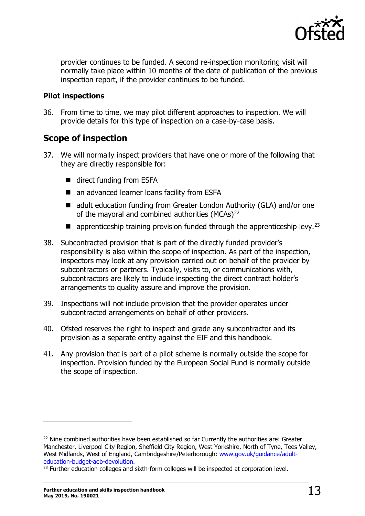

provider continues to be funded. A second re-inspection monitoring visit will normally take place within 10 months of the date of publication of the previous inspection report, if the provider continues to be funded.

#### **Pilot inspections**

36. From time to time, we may pilot different approaches to inspection. We will provide details for this type of inspection on a case-by-case basis.

## <span id="page-12-0"></span>**Scope of inspection**

- 37. We will normally inspect providers that have one or more of the following that they are directly responsible for:
	- direct funding from ESFA
	- an advanced learner loans facility from ESFA
	- adult education funding from Greater London Authority (GLA) and/or one of the mayoral and combined authorities (MCAs)<sup>[22](#page-12-1)</sup>
	- **E** apprenticeship training provision funded through the apprenticeship levy.<sup>[23](#page-12-2)</sup>
- 38. Subcontracted provision that is part of the directly funded provider's responsibility is also within the scope of inspection. As part of the inspection, inspectors may look at any provision carried out on behalf of the provider by subcontractors or partners. Typically, visits to, or communications with, subcontractors are likely to include inspecting the direct contract holder's arrangements to quality assure and improve the provision.
- 39. Inspections will not include provision that the provider operates under subcontracted arrangements on behalf of other providers.
- 40. Ofsted reserves the right to inspect and grade any subcontractor and its provision as a separate entity against the EIF and this handbook.
- 41. Any provision that is part of a pilot scheme is normally outside the scope for inspection. Provision funded by the European Social Fund is normally outside the scope of inspection.

<span id="page-12-1"></span><sup>&</sup>lt;sup>22</sup> Nine combined authorities have been established so far Currently the authorities are: Greater Manchester, Liverpool City Region, Sheffield City Region, West Yorkshire, North of Tyne, Tees Valley, West Midlands, West of England, Cambridgeshire/Peterborough: [www.gov.uk/guidance/adult](http://www.gov.uk/guidance/adult-education-budget-aeb-devolution)[education-budget-aeb-devolution.](http://www.gov.uk/guidance/adult-education-budget-aeb-devolution)

<span id="page-12-2"></span> $23$  Further education colleges and sixth-form colleges will be inspected at corporation level.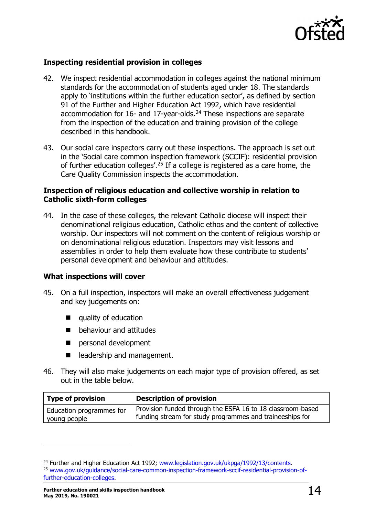

#### **Inspecting residential provision in colleges**

- 42. We inspect residential accommodation in colleges against the national minimum standards for the accommodation of students aged under 18. The standards apply to 'institutions within the further education sector', as defined by section 91 of the Further and Higher Education Act 1992, which have residential accommodation for 16- and 17-year-olds.<sup>[24](#page-13-0)</sup> These inspections are separate from the inspection of the education and training provision of the college described in this handbook.
- 43. Our social care inspectors carry out these inspections. The approach is set out in the 'Social care common inspection framework (SCCIF): residential provision of further education colleges'.<sup>[25](#page-13-1)</sup> If a college is registered as a care home, the Care Quality Commission inspects the accommodation.

#### **Inspection of religious education and collective worship in relation to Catholic sixth-form colleges**

44. In the case of these colleges, the relevant Catholic diocese will inspect their denominational religious education, Catholic ethos and the content of collective worship. Our inspectors will not comment on the content of religious worship or on denominational religious education. Inspectors may visit lessons and assemblies in order to help them evaluate how these contribute to students' personal development and behaviour and attitudes.

#### **What inspections will cover**

- 45. On a full inspection, inspectors will make an overall effectiveness judgement and key judgements on:
	- quality of education
	- **D** behaviour and attitudes
	- personal development
	- eadership and management.
- 46. They will also make judgements on each major type of provision offered, as set out in the table below.

| <b>Type of provision</b> | <b>Description of provision</b>                            |
|--------------------------|------------------------------------------------------------|
| Education programmes for | Provision funded through the ESFA 16 to 18 classroom-based |
| young people             | funding stream for study programmes and traineeships for   |

<span id="page-13-0"></span><sup>&</sup>lt;sup>24</sup> Further and Higher Education Act 1992; [www.legislation.gov.uk/ukpga/1992/13/contents.](http://www.legislation.gov.uk/ukpga/1992/13/contents)

<span id="page-13-1"></span><sup>25</sup> [www.gov.uk/guidance/social-care-common-inspection-framework-sccif-residential-provision-of](https://www.gov.uk/guidance/social-care-common-inspection-framework-sccif-residential-provision-of-further-education-colleges)[further-education-colleges.](https://www.gov.uk/guidance/social-care-common-inspection-framework-sccif-residential-provision-of-further-education-colleges)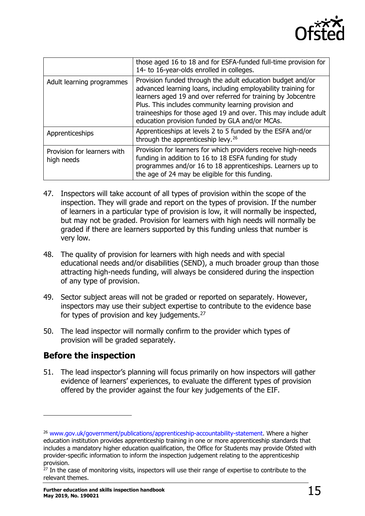

|                                           | those aged 16 to 18 and for ESFA-funded full-time provision for<br>14- to 16-year-olds enrolled in colleges.                                                                                                                                                                                                                                                             |
|-------------------------------------------|--------------------------------------------------------------------------------------------------------------------------------------------------------------------------------------------------------------------------------------------------------------------------------------------------------------------------------------------------------------------------|
| Adult learning programmes                 | Provision funded through the adult education budget and/or<br>advanced learning loans, including employability training for<br>learners aged 19 and over referred for training by Jobcentre<br>Plus. This includes community learning provision and<br>traineeships for those aged 19 and over. This may include adult<br>education provision funded by GLA and/or MCAs. |
| Apprenticeships                           | Apprenticeships at levels 2 to 5 funded by the ESFA and/or<br>through the apprenticeship levy. <sup>26</sup>                                                                                                                                                                                                                                                             |
| Provision for learners with<br>high needs | Provision for learners for which providers receive high-needs<br>funding in addition to 16 to 18 ESFA funding for study<br>programmes and/or 16 to 18 apprenticeships. Learners up to<br>the age of 24 may be eligible for this funding.                                                                                                                                 |

- 47. Inspectors will take account of all types of provision within the scope of the inspection. They will grade and report on the types of provision. If the number of learners in a particular type of provision is low, it will normally be inspected, but may not be graded. Provision for learners with high needs will normally be graded if there are learners supported by this funding unless that number is very low.
- 48. The quality of provision for learners with high needs and with special educational needs and/or disabilities (SEND), a much broader group than those attracting high-needs funding, will always be considered during the inspection of any type of provision.
- 49. Sector subject areas will not be graded or reported on separately. However, inspectors may use their subject expertise to contribute to the evidence base for types of provision and key judgements.<sup>[27](#page-14-2)</sup>
- 50. The lead inspector will normally confirm to the provider which types of provision will be graded separately.

## <span id="page-14-0"></span>**Before the inspection**

ł

51. The lead inspector's planning will focus primarily on how inspectors will gather evidence of learners' experiences, to evaluate the different types of provision offered by the provider against the four key judgements of the EIF.

<span id="page-14-1"></span><sup>&</sup>lt;sup>26</sup> [www.gov.uk/government/publications/apprenticeship-accountability-statement.](http://www.gov.uk/government/publications/apprenticeship-accountability-statement) Where a higher education institution provides apprenticeship training in one or more apprenticeship standards that includes a mandatory higher education qualification, the Office for Students may provide Ofsted with provider-specific information to inform the inspection judgement relating to the apprenticeship provision.

<span id="page-14-2"></span> $27$  In the case of monitoring visits, inspectors will use their range of expertise to contribute to the relevant themes.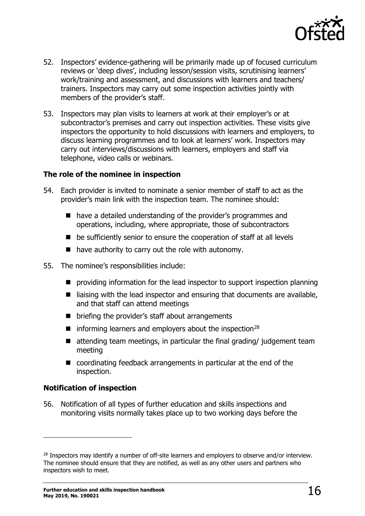

- 52. Inspectors' evidence-gathering will be primarily made up of focused curriculum reviews or 'deep dives', including lesson/session visits, scrutinising learners' work/training and assessment, and discussions with learners and teachers/ trainers. Inspectors may carry out some inspection activities jointly with members of the provider's staff.
- 53. Inspectors may plan visits to learners at work at their employer's or at subcontractor's premises and carry out inspection activities. These visits give inspectors the opportunity to hold discussions with learners and employers, to discuss learning programmes and to look at learners' work. Inspectors may carry out interviews/discussions with learners, employers and staff via telephone, video calls or webinars.

#### **The role of the nominee in inspection**

- 54. Each provider is invited to nominate a senior member of staff to act as the provider's main link with the inspection team. The nominee should:
	- have a detailed understanding of the provider's programmes and operations, including, where appropriate, those of subcontractors
	- be sufficiently senior to ensure the cooperation of staff at all levels
	- $\blacksquare$  have authority to carry out the role with autonomy.
- 55. The nominee's responsibilities include:
	- **P** providing information for the lead inspector to support inspection planning
	- $\blacksquare$  liaising with the lead inspector and ensuring that documents are available, and that staff can attend meetings
	- briefing the provider's staff about arrangements
	- $\blacksquare$  informing learners and employers about the inspection<sup>[28](#page-15-0)</sup>
	- $\blacksquare$  attending team meetings, in particular the final grading/ judgement team meeting
	- coordinating feedback arrangements in particular at the end of the inspection.

#### **Notification of inspection**

ł

56. Notification of all types of further education and skills inspections and monitoring visits normally takes place up to two working days before the

<span id="page-15-0"></span><sup>&</sup>lt;sup>28</sup> Inspectors may identify a number of off-site learners and employers to observe and/or interview. The nominee should ensure that they are notified, as well as any other users and partners who inspectors wish to meet.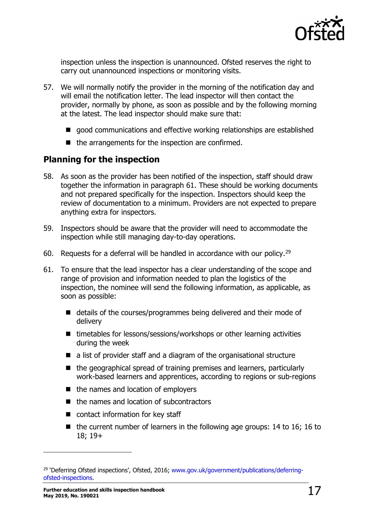

inspection unless the inspection is unannounced. Ofsted reserves the right to carry out unannounced inspections or monitoring visits.

- 57. We will normally notify the provider in the morning of the notification day and will email the notification letter. The lead inspector will then contact the provider, normally by phone, as soon as possible and by the following morning at the latest. The lead inspector should make sure that:
	- good communications and effective working relationships are established
	- $\blacksquare$  the arrangements for the inspection are confirmed.

## <span id="page-16-0"></span>**Planning for the inspection**

- 58. As soon as the provider has been notified of the inspection, staff should draw together the information in paragraph 61. These should be working documents and not prepared specifically for the inspection. Inspectors should keep the review of documentation to a minimum. Providers are not expected to prepare anything extra for inspectors.
- 59. Inspectors should be aware that the provider will need to accommodate the inspection while still managing day-to-day operations.
- 60. Requests for a deferral will be handled in accordance with our policy.<sup>[29](#page-16-1)</sup>
- 61. To ensure that the lead inspector has a clear understanding of the scope and range of provision and information needed to plan the logistics of the inspection, the nominee will send the following information, as applicable, as soon as possible:
	- details of the courses/programmes being delivered and their mode of delivery
	- timetables for lessons/sessions/workshops or other learning activities during the week
	- a list of provider staff and a diagram of the organisational structure
	- the geographical spread of training premises and learners, particularly work-based learners and apprentices, according to regions or sub-regions
	- $\blacksquare$  the names and location of employers
	- the names and location of subcontractors
	- contact information for key staff
	- $\blacksquare$  the current number of learners in the following age groups: 14 to 16; 16 to 18; 19+

<span id="page-16-1"></span><sup>&</sup>lt;sup>29</sup> 'Deferring Ofsted inspections', Ofsted, 2016; [www.gov.uk/government/publications/deferring](http://www.gov.uk/government/publications/deferring-ofsted-inspections)[ofsted-inspections.](http://www.gov.uk/government/publications/deferring-ofsted-inspections)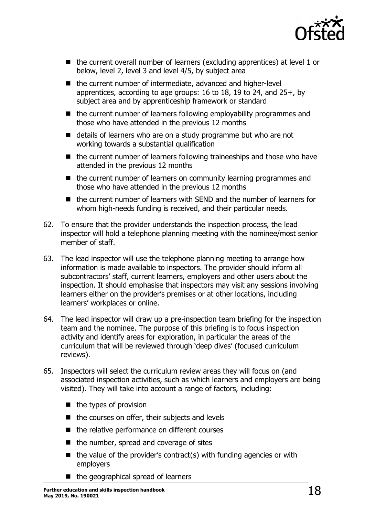

- the current overall number of learners (excluding apprentices) at level 1 or below, level 2, level 3 and level 4/5, by subject area
- the current number of intermediate, advanced and higher-level apprentices, according to age groups: 16 to 18, 19 to 24, and 25+, by subject area and by apprenticeship framework or standard
- $\blacksquare$  the current number of learners following employability programmes and those who have attended in the previous 12 months
- details of learners who are on a study programme but who are not working towards a substantial qualification
- the current number of learners following traineeships and those who have attended in the previous 12 months
- the current number of learners on community learning programmes and those who have attended in the previous 12 months
- the current number of learners with SEND and the number of learners for whom high-needs funding is received, and their particular needs.
- 62. To ensure that the provider understands the inspection process, the lead inspector will hold a telephone planning meeting with the nominee/most senior member of staff.
- 63. The lead inspector will use the telephone planning meeting to arrange how information is made available to inspectors. The provider should inform all subcontractors' staff, current learners, employers and other users about the inspection. It should emphasise that inspectors may visit any sessions involving learners either on the provider's premises or at other locations, including learners' workplaces or online.
- 64. The lead inspector will draw up a pre-inspection team briefing for the inspection team and the nominee. The purpose of this briefing is to focus inspection activity and identify areas for exploration, in particular the areas of the curriculum that will be reviewed through 'deep dives' (focused curriculum reviews).
- 65. Inspectors will select the curriculum review areas they will focus on (and associated inspection activities, such as which learners and employers are being visited). They will take into account a range of factors, including:
	- $\blacksquare$  the types of provision
	- $\blacksquare$  the courses on offer, their subjects and levels
	- $\blacksquare$  the relative performance on different courses
	- $\blacksquare$  the number, spread and coverage of sites
	- $\blacksquare$  the value of the provider's contract(s) with funding agencies or with employers
	- $\blacksquare$  the geographical spread of learners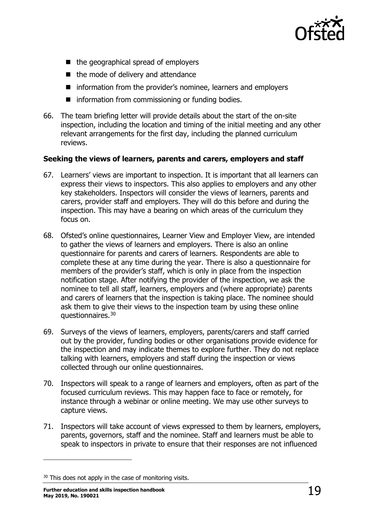

- $\blacksquare$  the geographical spread of employers
- the mode of delivery and attendance
- **n** information from the provider's nominee, learners and employers
- **n** information from commissioning or funding bodies.
- 66. The team briefing letter will provide details about the start of the on-site inspection, including the location and timing of the initial meeting and any other relevant arrangements for the first day, including the planned curriculum reviews.

#### **Seeking the views of learners, parents and carers, employers and staff**

- 67. Learners' views are important to inspection. It is important that all learners can express their views to inspectors. This also applies to employers and any other key stakeholders. Inspectors will consider the views of learners, parents and carers, provider staff and employers. They will do this before and during the inspection. This may have a bearing on which areas of the curriculum they focus on.
- 68. Ofsted's online questionnaires, Learner View and Employer View, are intended to gather the views of learners and employers. There is also an online questionnaire for parents and carers of learners. Respondents are able to complete these at any time during the year. There is also a questionnaire for members of the provider's staff, which is only in place from the inspection notification stage. After notifying the provider of the inspection, we ask the nominee to tell all staff, learners, employers and (where appropriate) parents and carers of learners that the inspection is taking place. The nominee should ask them to give their views to the inspection team by using these online questionnaires.[30](#page-18-0)
- 69. Surveys of the views of learners, employers, parents/carers and staff carried out by the provider, funding bodies or other organisations provide evidence for the inspection and may indicate themes to explore further. They do not replace talking with learners, employers and staff during the inspection or views collected through our online questionnaires.
- 70. Inspectors will speak to a range of learners and employers, often as part of the focused curriculum reviews. This may happen face to face or remotely, for instance through a webinar or online meeting. We may use other surveys to capture views.
- 71. Inspectors will take account of views expressed to them by learners, employers, parents, governors, staff and the nominee. Staff and learners must be able to speak to inspectors in private to ensure that their responses are not influenced

<span id="page-18-0"></span><sup>&</sup>lt;sup>30</sup> This does not apply in the case of monitoring visits.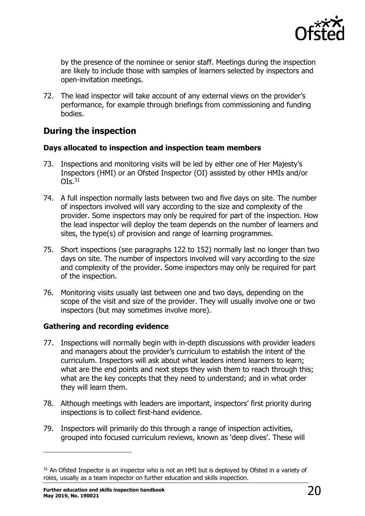

by the presence of the nominee or senior staff. Meetings during the inspection are likely to include those with samples of learners selected by inspectors and open-invitation meetings.

72. The lead inspector will take account of any external views on the provider's performance, for example through briefings from commissioning and funding bodies.

## <span id="page-19-0"></span>**During the inspection**

#### **Days allocated to inspection and inspection team members**

- 73. Inspections and monitoring visits will be led by either one of Her Majesty's Inspectors (HMI) or an Ofsted Inspector (OI) assisted by other HMIs and/or  $OIs.<sup>31</sup>$
- 74. A full inspection normally lasts between two and five days on site. The number of inspectors involved will vary according to the size and complexity of the provider. Some inspectors may only be required for part of the inspection. How the lead inspector will deploy the team depends on the number of learners and sites, the type(s) of provision and range of learning programmes.
- 75. Short inspections (see paragraphs 122 to 152) normally last no longer than two days on site. The number of inspectors involved will vary according to the size and complexity of the provider. Some inspectors may only be required for part of the inspection.
- 76. Monitoring visits usually last between one and two days, depending on the scope of the visit and size of the provider. They will usually involve one or two inspectors (but may sometimes involve more).

#### **Gathering and recording evidence**

- 77. Inspections will normally begin with in-depth discussions with provider leaders and managers about the provider's curriculum to establish the intent of the curriculum. Inspectors will ask about what leaders intend learners to learn; what are the end points and next steps they wish them to reach through this; what are the key concepts that they need to understand; and in what order they will learn them.
- 78. Although meetings with leaders are important, inspectors' first priority during inspections is to collect first-hand evidence.
- 79. Inspectors will primarily do this through a range of inspection activities, grouped into focused curriculum reviews, known as 'deep dives'. These will

<span id="page-19-1"></span><sup>&</sup>lt;sup>31</sup> An Ofsted Inspector is an inspector who is not an HMI but is deployed by Ofsted in a variety of roles, usually as a team inspector on further education and skills inspection.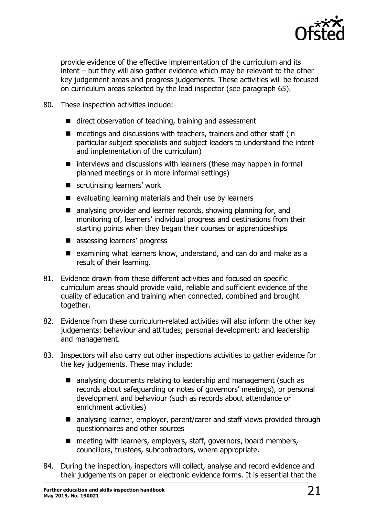

provide evidence of the effective implementation of the curriculum and its intent – but they will also gather evidence which may be relevant to the other key judgement areas and progress judgements. These activities will be focused on curriculum areas selected by the lead inspector (see paragraph 65).

- 80. These inspection activities include:
	- direct observation of teaching, training and assessment
	- meetings and discussions with teachers, trainers and other staff (in particular subject specialists and subject leaders to understand the intent and implementation of the curriculum)
	- $\blacksquare$  interviews and discussions with learners (these may happen in formal planned meetings or in more informal settings)
	- scrutinising learners' work
	- $\blacksquare$  evaluating learning materials and their use by learners
	- analysing provider and learner records, showing planning for, and monitoring of, learners' individual progress and destinations from their starting points when they began their courses or apprenticeships
	- assessing learners' progress
	- $\blacksquare$  examining what learners know, understand, and can do and make as a result of their learning.
- 81. Evidence drawn from these different activities and focused on specific curriculum areas should provide valid, reliable and sufficient evidence of the quality of education and training when connected, combined and brought together.
- 82. Evidence from these curriculum-related activities will also inform the other key judgements: behaviour and attitudes; personal development; and leadership and management.
- 83. Inspectors will also carry out other inspections activities to gather evidence for the key judgements. These may include:
	- analysing documents relating to leadership and management (such as records about safeguarding or notes of governors' meetings), or personal development and behaviour (such as records about attendance or enrichment activities)
	- analysing learner, employer, parent/carer and staff views provided through questionnaires and other sources
	- meeting with learners, employers, staff, governors, board members, councillors, trustees, subcontractors, where appropriate.
- 84. During the inspection, inspectors will collect, analyse and record evidence and their judgements on paper or electronic evidence forms. It is essential that the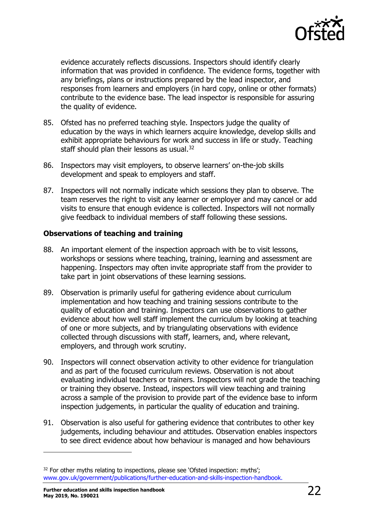

evidence accurately reflects discussions. Inspectors should identify clearly information that was provided in confidence. The evidence forms, together with any briefings, plans or instructions prepared by the lead inspector, and responses from learners and employers (in hard copy, online or other formats) contribute to the evidence base. The lead inspector is responsible for assuring the quality of evidence.

- 85. Ofsted has no preferred teaching style. Inspectors judge the quality of education by the ways in which learners acquire knowledge, develop skills and exhibit appropriate behaviours for work and success in life or study. Teaching staff should plan their lessons as usual.<sup>[32](#page-21-0)</sup>
- 86. Inspectors may visit employers, to observe learners' on-the-job skills development and speak to employers and staff.
- 87. Inspectors will not normally indicate which sessions they plan to observe. The team reserves the right to visit any learner or employer and may cancel or add visits to ensure that enough evidence is collected. Inspectors will not normally give feedback to individual members of staff following these sessions.

#### **Observations of teaching and training**

- 88. An important element of the inspection approach with be to visit lessons, workshops or sessions where teaching, training, learning and assessment are happening. Inspectors may often invite appropriate staff from the provider to take part in joint observations of these learning sessions.
- 89. Observation is primarily useful for gathering evidence about curriculum implementation and how teaching and training sessions contribute to the quality of education and training. Inspectors can use observations to gather evidence about how well staff implement the curriculum by looking at teaching of one or more subjects, and by triangulating observations with evidence collected through discussions with staff, learners, and, where relevant, employers, and through work scrutiny.
- 90. Inspectors will connect observation activity to other evidence for triangulation and as part of the focused curriculum reviews. Observation is not about evaluating individual teachers or trainers. Inspectors will not grade the teaching or training they observe. Instead, inspectors will view teaching and training across a sample of the provision to provide part of the evidence base to inform inspection judgements, in particular the quality of education and training.
- 91. Observation is also useful for gathering evidence that contributes to other key judgements, including behaviour and attitudes. Observation enables inspectors to see direct evidence about how behaviour is managed and how behaviours

<span id="page-21-0"></span><sup>&</sup>lt;sup>32</sup> For other myths relating to inspections, please see 'Ofsted inspection: myths'; [www.gov.uk/government/publications/further-education-and-skills-inspection-handbook.](http://www.gov.uk/government/publications/further-education-and-skills-inspection-handbook)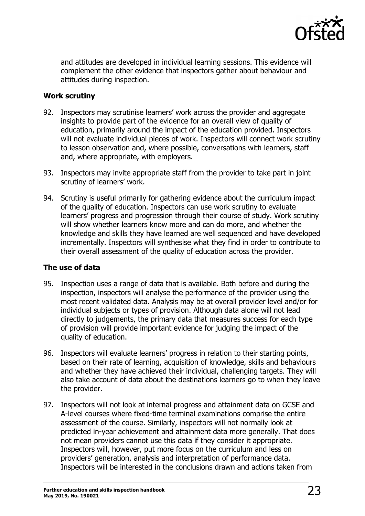

and attitudes are developed in individual learning sessions. This evidence will complement the other evidence that inspectors gather about behaviour and attitudes during inspection.

#### **Work scrutiny**

- 92. Inspectors may scrutinise learners' work across the provider and aggregate insights to provide part of the evidence for an overall view of quality of education, primarily around the impact of the education provided. Inspectors will not evaluate individual pieces of work. Inspectors will connect work scrutiny to lesson observation and, where possible, conversations with learners, staff and, where appropriate, with employers.
- 93. Inspectors may invite appropriate staff from the provider to take part in joint scrutiny of learners' work.
- 94. Scrutiny is useful primarily for gathering evidence about the curriculum impact of the quality of education. Inspectors can use work scrutiny to evaluate learners' progress and progression through their course of study. Work scrutiny will show whether learners know more and can do more, and whether the knowledge and skills they have learned are well sequenced and have developed incrementally. Inspectors will synthesise what they find in order to contribute to their overall assessment of the quality of education across the provider.

#### **The use of data**

- 95. Inspection uses a range of data that is available. Both before and during the inspection, inspectors will analyse the performance of the provider using the most recent validated data. Analysis may be at overall provider level and/or for individual subjects or types of provision. Although data alone will not lead directly to judgements, the primary data that measures success for each type of provision will provide important evidence for judging the impact of the quality of education.
- 96. Inspectors will evaluate learners' progress in relation to their starting points, based on their rate of learning, acquisition of knowledge, skills and behaviours and whether they have achieved their individual, challenging targets. They will also take account of data about the destinations learners go to when they leave the provider.
- 97. Inspectors will not look at internal progress and attainment data on GCSE and A-level courses where fixed-time terminal examinations comprise the entire assessment of the course. Similarly, inspectors will not normally look at predicted in-year achievement and attainment data more generally. That does not mean providers cannot use this data if they consider it appropriate. Inspectors will, however, put more focus on the curriculum and less on providers' generation, analysis and interpretation of performance data. Inspectors will be interested in the conclusions drawn and actions taken from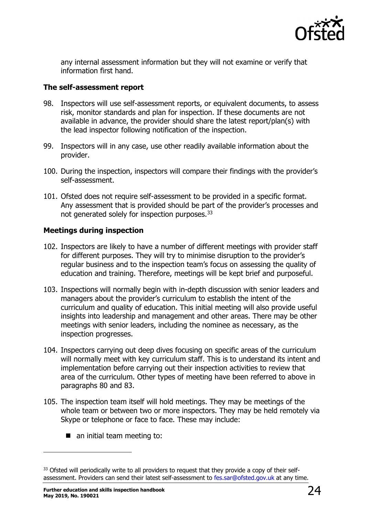

any internal assessment information but they will not examine or verify that information first hand.

#### **The self-assessment report**

- 98. Inspectors will use self-assessment reports, or equivalent documents, to assess risk, monitor standards and plan for inspection. If these documents are not available in advance, the provider should share the latest report/plan(s) with the lead inspector following notification of the inspection.
- 99. Inspectors will in any case, use other readily available information about the provider.
- 100. During the inspection, inspectors will compare their findings with the provider's self-assessment.
- 101. Ofsted does not require self-assessment to be provided in a specific format. Any assessment that is provided should be part of the provider's processes and not generated solely for inspection purposes.<sup>[33](#page-23-0)</sup>

#### **Meetings during inspection**

- 102. Inspectors are likely to have a number of different meetings with provider staff for different purposes. They will try to minimise disruption to the provider's regular business and to the inspection team's focus on assessing the quality of education and training. Therefore, meetings will be kept brief and purposeful.
- 103. Inspections will normally begin with in-depth discussion with senior leaders and managers about the provider's curriculum to establish the intent of the curriculum and quality of education. This initial meeting will also provide useful insights into leadership and management and other areas. There may be other meetings with senior leaders, including the nominee as necessary, as the inspection progresses.
- 104. Inspectors carrying out deep dives focusing on specific areas of the curriculum will normally meet with key curriculum staff. This is to understand its intent and implementation before carrying out their inspection activities to review that area of the curriculum. Other types of meeting have been referred to above in paragraphs 80 and 83.
- 105. The inspection team itself will hold meetings. They may be meetings of the whole team or between two or more inspectors. They may be held remotely via Skype or telephone or face to face. These may include:
	- an initial team meeting to:

<span id="page-23-0"></span><sup>&</sup>lt;sup>33</sup> Ofsted will periodically write to all providers to request that they provide a copy of their selfassessment. Providers can send their latest self-assessment to [fes.sar@ofsted.gov.uk](mailto:fes.sar@ofsted.gov.uk) at any time.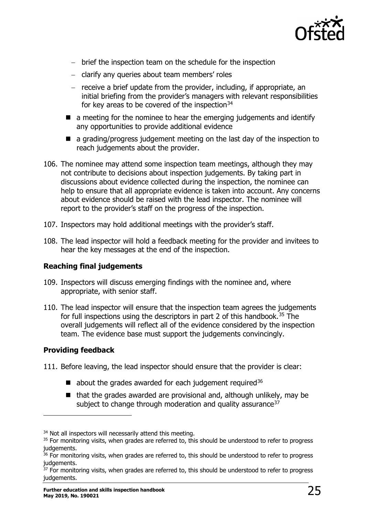

- − brief the inspection team on the schedule for the inspection
- − clarify any queries about team members' roles
- − receive a brief update from the provider, including, if appropriate, an initial briefing from the provider's managers with relevant responsibilities for key areas to be covered of the inspection $34$
- $\blacksquare$  a meeting for the nominee to hear the emerging judgements and identify any opportunities to provide additional evidence
- $\blacksquare$  a grading/progress judgement meeting on the last day of the inspection to reach judgements about the provider.
- 106. The nominee may attend some inspection team meetings, although they may not contribute to decisions about inspection judgements. By taking part in discussions about evidence collected during the inspection, the nominee can help to ensure that all appropriate evidence is taken into account. Any concerns about evidence should be raised with the lead inspector. The nominee will report to the provider's staff on the progress of the inspection.
- 107. Inspectors may hold additional meetings with the provider's staff.
- 108. The lead inspector will hold a feedback meeting for the provider and invitees to hear the key messages at the end of the inspection.

#### **Reaching final judgements**

- 109. Inspectors will discuss emerging findings with the nominee and, where appropriate, with senior staff.
- 110. The lead inspector will ensure that the inspection team agrees the judgements for full inspections using the descriptors in part 2 of this handbook.<sup>[35](#page-24-1)</sup> The overall judgements will reflect all of the evidence considered by the inspection team. The evidence base must support the judgements convincingly.

#### **Providing feedback**

- 111. Before leaving, the lead inspector should ensure that the provider is clear:
	- $\blacksquare$  about the grades awarded for each judgement required<sup>[36](#page-24-2)</sup>
	- $\blacksquare$  that the grades awarded are provisional and, although unlikely, may be subject to change through moderation and quality assurance  $37$

<span id="page-24-0"></span><sup>&</sup>lt;sup>34</sup> Not all inspectors will necessarily attend this meeting.

<span id="page-24-1"></span><sup>&</sup>lt;sup>35</sup> For monitoring visits, when grades are referred to, this should be understood to refer to progress judgements.

<span id="page-24-2"></span><sup>&</sup>lt;sup>36</sup> For monitoring visits, when grades are referred to, this should be understood to refer to progress judgements.

<span id="page-24-3"></span> $37$  For monitoring visits, when grades are referred to, this should be understood to refer to progress judgements.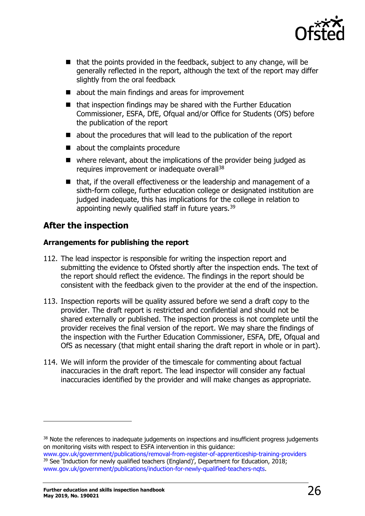

- $\blacksquare$  that the points provided in the feedback, subject to any change, will be generally reflected in the report, although the text of the report may differ slightly from the oral feedback
- $\blacksquare$  about the main findings and areas for improvement
- $\blacksquare$  that inspection findings may be shared with the Further Education Commissioner, ESFA, DfE, Ofqual and/or Office for Students (OfS) before the publication of the report
- about the procedures that will lead to the publication of the report
- about the complaints procedure
- where relevant, about the implications of the provider being judged as requires improvement or inadequate overall<sup>[38](#page-25-1)</sup>
- $\blacksquare$  that, if the overall effectiveness or the leadership and management of a sixth-form college, further education college or designated institution are judged inadequate, this has implications for the college in relation to appointing newly qualified staff in future years.<sup>[39](#page-25-2)</sup>

## <span id="page-25-0"></span>**After the inspection**

#### **Arrangements for publishing the report**

- 112. The lead inspector is responsible for writing the inspection report and submitting the evidence to Ofsted shortly after the inspection ends. The text of the report should reflect the evidence. The findings in the report should be consistent with the feedback given to the provider at the end of the inspection.
- 113. Inspection reports will be quality assured before we send a draft copy to the provider. The draft report is restricted and confidential and should not be shared externally or published. The inspection process is not complete until the provider receives the final version of the report. We may share the findings of the inspection with the Further Education Commissioner, ESFA, DfE, Ofqual and OfS as necessary (that might entail sharing the draft report in whole or in part).
- 114. We will inform the provider of the timescale for commenting about factual inaccuracies in the draft report. The lead inspector will consider any factual inaccuracies identified by the provider and will make changes as appropriate.

<span id="page-25-1"></span><sup>&</sup>lt;sup>38</sup> Note the references to inadequate judgements on inspections and insufficient progress judgements on monitoring visits with respect to ESFA intervention in this guidance:

<span id="page-25-2"></span>[www.gov.uk/government/publications/removal-from-register-of-apprenticeship-training-providers](https://www.gov.uk/government/publications/removal-from-register-of-apprenticeship-training-providers) <sup>39</sup> See 'Induction for newly qualified teachers (England)', Department for Education, 2018; [www.gov.uk/government/publications/induction-for-newly-qualified-teachers-nqts.](https://www.gov.uk/government/publications/induction-for-newly-qualified-teachers-nqts)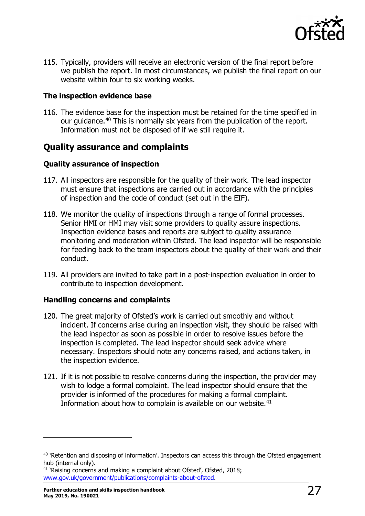

115. Typically, providers will receive an electronic version of the final report before we publish the report. In most circumstances, we publish the final report on our website within four to six working weeks.

#### **The inspection evidence base**

116. The evidence base for the inspection must be retained for the time specified in our quidance.<sup>[40](#page-26-2)</sup> This is normally six years from the publication of the report. Information must not be disposed of if we still require it.

## <span id="page-26-0"></span>**Quality assurance and complaints**

#### **Quality assurance of inspection**

- 117. All inspectors are responsible for the quality of their work. The lead inspector must ensure that inspections are carried out in accordance with the principles of inspection and the code of conduct (set out in the EIF).
- 118. We monitor the quality of inspections through a range of formal processes. Senior HMI or HMI may visit some providers to quality assure inspections. Inspection evidence bases and reports are subject to quality assurance monitoring and moderation within Ofsted. The lead inspector will be responsible for feeding back to the team inspectors about the quality of their work and their conduct.
- 119. All providers are invited to take part in a post-inspection evaluation in order to contribute to inspection development.

#### **Handling concerns and complaints**

- 120. The great majority of Ofsted's work is carried out smoothly and without incident. If concerns arise during an inspection visit, they should be raised with the lead inspector as soon as possible in order to resolve issues before the inspection is completed. The lead inspector should seek advice where necessary. Inspectors should note any concerns raised, and actions taken, in the inspection evidence.
- 121. If it is not possible to resolve concerns during the inspection, the provider may wish to lodge a formal complaint. The lead inspector should ensure that the provider is informed of the procedures for making a formal complaint. Information about how to complain is available on our website.<sup>[41](#page-26-3)</sup>

<span id="page-26-2"></span><span id="page-26-1"></span><sup>&</sup>lt;sup>40</sup> 'Retention and disposing of information'. Inspectors can access this through the Ofsted engagement hub (internal only).

<span id="page-26-3"></span><sup>&</sup>lt;sup>41</sup> 'Raising concerns and making a complaint about Ofsted', Ofsted, 2018; [www.gov.uk/government/publications/complaints-about-ofsted.](http://www.gov.uk/government/publications/complaints-about-ofsted)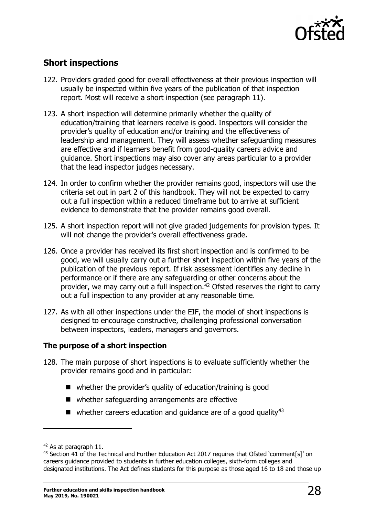

## **Short inspections**

- 122. Providers graded good for overall effectiveness at their previous inspection will usually be inspected within five years of the publication of that inspection report. Most will receive a short inspection (see paragraph 11).
- 123. A short inspection will determine primarily whether the quality of education/training that learners receive is good. Inspectors will consider the provider's quality of education and/or training and the effectiveness of leadership and management. They will assess whether safeguarding measures are effective and if learners benefit from good-quality careers advice and guidance. Short inspections may also cover any areas particular to a provider that the lead inspector judges necessary.
- 124. In order to confirm whether the provider remains good, inspectors will use the criteria set out in part 2 of this handbook. They will not be expected to carry out a full inspection within a reduced timeframe but to arrive at sufficient evidence to demonstrate that the provider remains good overall.
- 125. A short inspection report will not give graded judgements for provision types. It will not change the provider's overall effectiveness grade.
- 126. Once a provider has received its first short inspection and is confirmed to be good, we will usually carry out a further short inspection within five years of the publication of the previous report. If risk assessment identifies any decline in performance or if there are any safeguarding or other concerns about the provider, we may carry out a full inspection.<sup>[42](#page-27-0)</sup> Ofsted reserves the right to carry out a full inspection to any provider at any reasonable time.
- 127. As with all other inspections under the EIF, the model of short inspections is designed to encourage constructive, challenging professional conversation between inspectors, leaders, managers and governors.

#### **The purpose of a short inspection**

- 128. The main purpose of short inspections is to evaluate sufficiently whether the provider remains good and in particular:
	- whether the provider's quality of education/training is good
	- whether safeguarding arrangements are effective
	- $\blacksquare$  whether careers education and quidance are of a good quality<sup>[43](#page-27-1)</sup>

<span id="page-27-0"></span><sup>42</sup> As at paragraph 11.

<span id="page-27-1"></span><sup>&</sup>lt;sup>43</sup> Section 41 of the Technical and Further Education Act 2017 requires that Ofsted 'comment[s]' on careers guidance provided to students in further education colleges, sixth-form colleges and designated institutions. The Act defines students for this purpose as those aged 16 to 18 and those up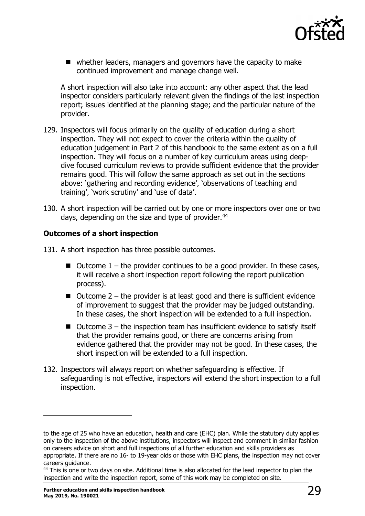

■ whether leaders, managers and governors have the capacity to make continued improvement and manage change well.

A short inspection will also take into account: any other aspect that the lead inspector considers particularly relevant given the findings of the last inspection report; issues identified at the planning stage; and the particular nature of the provider.

- 129. Inspectors will focus primarily on the quality of education during a short inspection. They will not expect to cover the criteria within the quality of education judgement in Part 2 of this handbook to the same extent as on a full inspection. They will focus on a number of key curriculum areas using deepdive focused curriculum reviews to provide sufficient evidence that the provider remains good. This will follow the same approach as set out in the sections above: 'gathering and recording evidence', 'observations of teaching and training', 'work scrutiny' and 'use of data'.
- 130. A short inspection will be carried out by one or more inspectors over one or two days, depending on the size and type of provider.<sup>[44](#page-28-0)</sup>

#### **Outcomes of a short inspection**

- 131. A short inspection has three possible outcomes.
	- $\blacksquare$  Outcome 1 the provider continues to be a good provider. In these cases, it will receive a short inspection report following the report publication process).
	- $\blacksquare$  Outcome 2 the provider is at least good and there is sufficient evidence of improvement to suggest that the provider may be judged outstanding. In these cases, the short inspection will be extended to a full inspection.
	- $\blacksquare$  Outcome 3 the inspection team has insufficient evidence to satisfy itself that the provider remains good, or there are concerns arising from evidence gathered that the provider may not be good. In these cases, the short inspection will be extended to a full inspection.
- 132. Inspectors will always report on whether safeguarding is effective. If safeguarding is not effective, inspectors will extend the short inspection to a full inspection.

to the age of 25 who have an education, health and care (EHC) plan. While the statutory duty applies only to the inspection of the above institutions, inspectors will inspect and comment in similar fashion on careers advice on short and full inspections of all further education and skills providers as appropriate. If there are no 16- to 19-year olds or those with EHC plans, the inspection may not cover careers guidance.

<span id="page-28-0"></span><sup>&</sup>lt;sup>44</sup> This is one or two days on site. Additional time is also allocated for the lead inspector to plan the inspection and write the inspection report, some of this work may be completed on site.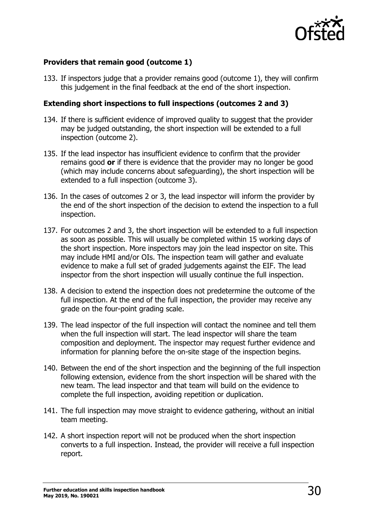

#### **Providers that remain good (outcome 1)**

133. If inspectors judge that a provider remains good (outcome 1), they will confirm this judgement in the final feedback at the end of the short inspection.

#### **Extending short inspections to full inspections (outcomes 2 and 3)**

- 134. If there is sufficient evidence of improved quality to suggest that the provider may be judged outstanding, the short inspection will be extended to a full inspection (outcome 2).
- 135. If the lead inspector has insufficient evidence to confirm that the provider remains good **or** if there is evidence that the provider may no longer be good (which may include concerns about safeguarding), the short inspection will be extended to a full inspection (outcome 3).
- 136. In the cases of outcomes 2 or 3, the lead inspector will inform the provider by the end of the short inspection of the decision to extend the inspection to a full inspection.
- 137. For outcomes 2 and 3, the short inspection will be extended to a full inspection as soon as possible. This will usually be completed within 15 working days of the short inspection. More inspectors may join the lead inspector on site. This may include HMI and/or OIs. The inspection team will gather and evaluate evidence to make a full set of graded judgements against the EIF. The lead inspector from the short inspection will usually continue the full inspection.
- 138. A decision to extend the inspection does not predetermine the outcome of the full inspection. At the end of the full inspection, the provider may receive any grade on the four-point grading scale.
- 139. The lead inspector of the full inspection will contact the nominee and tell them when the full inspection will start. The lead inspector will share the team composition and deployment. The inspector may request further evidence and information for planning before the on-site stage of the inspection begins.
- 140. Between the end of the short inspection and the beginning of the full inspection following extension, evidence from the short inspection will be shared with the new team. The lead inspector and that team will build on the evidence to complete the full inspection, avoiding repetition or duplication.
- 141. The full inspection may move straight to evidence gathering, without an initial team meeting.
- 142. A short inspection report will not be produced when the short inspection converts to a full inspection. Instead, the provider will receive a full inspection report.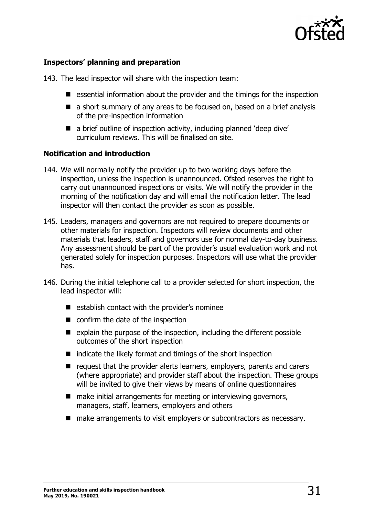

#### **Inspectors' planning and preparation**

143. The lead inspector will share with the inspection team:

- $\blacksquare$  essential information about the provider and the timings for the inspection
- a short summary of any areas to be focused on, based on a brief analysis of the pre-inspection information
- a brief outline of inspection activity, including planned 'deep dive' curriculum reviews. This will be finalised on site.

#### **Notification and introduction**

- 144. We will normally notify the provider up to two working days before the inspection, unless the inspection is unannounced. Ofsted reserves the right to carry out unannounced inspections or visits. We will notify the provider in the morning of the notification day and will email the notification letter. The lead inspector will then contact the provider as soon as possible.
- 145. Leaders, managers and governors are not required to prepare documents or other materials for inspection. Inspectors will review documents and other materials that leaders, staff and governors use for normal day-to-day business. Any assessment should be part of the provider's usual evaluation work and not generated solely for inspection purposes. Inspectors will use what the provider has.
- 146. During the initial telephone call to a provider selected for short inspection, the lead inspector will:
	- $\blacksquare$  establish contact with the provider's nominee
	- confirm the date of the inspection
	- $\blacksquare$  explain the purpose of the inspection, including the different possible outcomes of the short inspection
	- $\blacksquare$  indicate the likely format and timings of the short inspection
	- $\blacksquare$  request that the provider alerts learners, employers, parents and carers (where appropriate) and provider staff about the inspection. These groups will be invited to give their views by means of online questionnaires
	- make initial arrangements for meeting or interviewing governors, managers, staff, learners, employers and others
	- make arrangements to visit employers or subcontractors as necessary.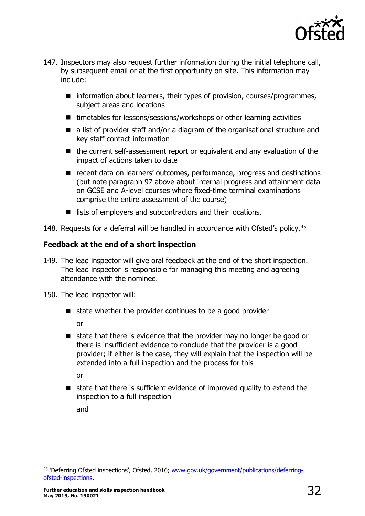

- 147. Inspectors may also request further information during the initial telephone call, by subsequent email or at the first opportunity on site. This information may include:
	- $\blacksquare$  information about learners, their types of provision, courses/programmes, subject areas and locations
	- timetables for lessons/sessions/workshops or other learning activities
	- a list of provider staff and/or a diagram of the organisational structure and key staff contact information
	- the current self-assessment report or equivalent and any evaluation of the impact of actions taken to date
	- recent data on learners' outcomes, performance, progress and destinations (but note paragraph 97 above about internal progress and attainment data on GCSE and A-level courses where fixed-time terminal examinations comprise the entire assessment of the course)
	- lists of employers and subcontractors and their locations.

148. Requests for a deferral will be handled in accordance with Ofsted's policy.<sup>[45](#page-31-0)</sup>

#### **Feedback at the end of a short inspection**

149. The lead inspector will give oral feedback at the end of the short inspection. The lead inspector is responsible for managing this meeting and agreeing attendance with the nominee.

150. The lead inspector will:

- $\blacksquare$  state whether the provider continues to be a good provider or
- $\blacksquare$  state that there is evidence that the provider may no longer be good or there is insufficient evidence to conclude that the provider is a good provider; if either is the case, they will explain that the inspection will be extended into a full inspection and the process for this

or

 $\blacksquare$  state that there is sufficient evidence of improved quality to extend the inspection to a full inspection

and

<span id="page-31-0"></span><sup>45</sup> 'Deferring Ofsted inspections', Ofsted, 2016; [www.gov.uk/government/publications/deferring](http://www.gov.uk/government/publications/deferring-ofsted-inspections)[ofsted-inspections.](http://www.gov.uk/government/publications/deferring-ofsted-inspections)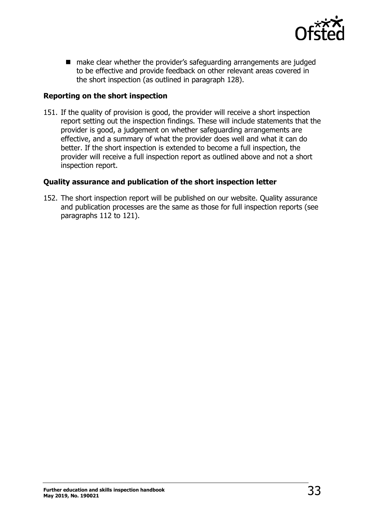

■ make clear whether the provider's safeguarding arrangements are judged to be effective and provide feedback on other relevant areas covered in the short inspection (as outlined in paragraph 128).

#### **Reporting on the short inspection**

151. If the quality of provision is good, the provider will receive a short inspection report setting out the inspection findings. These will include statements that the provider is good, a judgement on whether safeguarding arrangements are effective, and a summary of what the provider does well and what it can do better. If the short inspection is extended to become a full inspection, the provider will receive a full inspection report as outlined above and not a short inspection report.

#### **Quality assurance and publication of the short inspection letter**

152. The short inspection report will be published on our website. Quality assurance and publication processes are the same as those for full inspection reports (see paragraphs 112 to 121).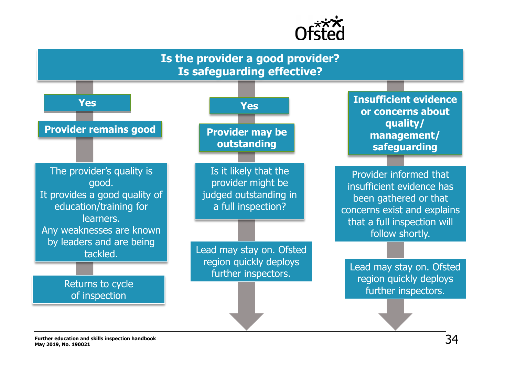

## **Is the provider a good provider? Is safeguarding effective?**

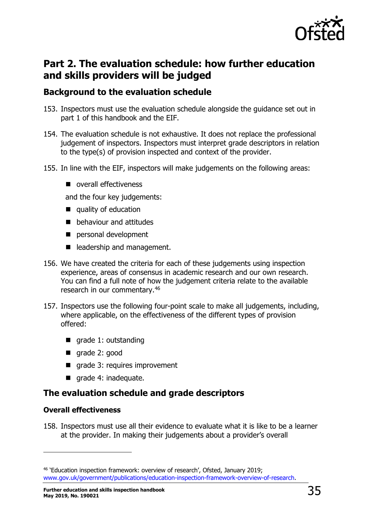

## <span id="page-34-0"></span>**Part 2. The evaluation schedule: how further education and skills providers will be judged**

## <span id="page-34-1"></span>**Background to the evaluation schedule**

- 153. Inspectors must use the evaluation schedule alongside the guidance set out in part 1 of this handbook and the EIF.
- 154. The evaluation schedule is not exhaustive. It does not replace the professional judgement of inspectors. Inspectors must interpret grade descriptors in relation to the type(s) of provision inspected and context of the provider.
- 155. In line with the EIF, inspectors will make judgements on the following areas:
	- overall effectiveness

and the four key judgements:

- quality of education
- **D** behaviour and attitudes
- personal development
- eladership and management.
- 156. We have created the criteria for each of these judgements using inspection experience, areas of consensus in academic research and our own research. You can find a full note of how the judgement criteria relate to the available research in our commentary.[46](#page-34-3)
- 157. Inspectors use the following four-point scale to make all judgements, including, where applicable, on the effectiveness of the different types of provision offered:
	- qrade 1: outstanding
	- qrade 2: good
	- qrade 3: requires improvement
	- grade 4: inadequate.

## <span id="page-34-2"></span>**The evaluation schedule and grade descriptors**

#### **Overall effectiveness**

ł

158. Inspectors must use all their evidence to evaluate what it is like to be a learner at the provider. In making their judgements about a provider's overall

<span id="page-34-3"></span><sup>46</sup> 'Education inspection framework: overview of research', Ofsted, January 2019; [www.gov.uk/government/publications/education-inspection-framework-overview-of-research.](http://www.gov.uk/government/publications/education-inspection-framework-overview-of-research)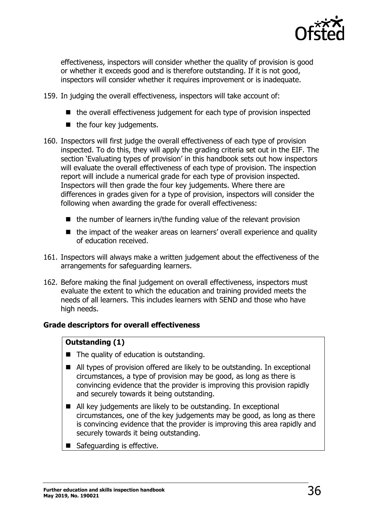

effectiveness, inspectors will consider whether the quality of provision is good or whether it exceeds good and is therefore outstanding. If it is not good, inspectors will consider whether it requires improvement or is inadequate.

- 159. In judging the overall effectiveness, inspectors will take account of:
	- $\blacksquare$  the overall effectiveness judgement for each type of provision inspected
	- $\blacksquare$  the four key judgements.
- 160. Inspectors will first judge the overall effectiveness of each type of provision inspected. To do this, they will apply the grading criteria set out in the EIF. The section 'Evaluating types of provision' in this handbook sets out how inspectors will evaluate the overall effectiveness of each type of provision. The inspection report will include a numerical grade for each type of provision inspected. Inspectors will then grade the four key judgements. Where there are differences in grades given for a type of provision, inspectors will consider the following when awarding the grade for overall effectiveness:
	- $\blacksquare$  the number of learners in/the funding value of the relevant provision
	- the impact of the weaker areas on learners' overall experience and quality of education received.
- 161. Inspectors will always make a written judgement about the effectiveness of the arrangements for safeguarding learners.
- 162. Before making the final judgement on overall effectiveness, inspectors must evaluate the extent to which the education and training provided meets the needs of all learners. This includes learners with SEND and those who have high needs.

#### **Grade descriptors for overall effectiveness**

#### **Outstanding (1)**

- $\blacksquare$  The quality of education is outstanding.
- All types of provision offered are likely to be outstanding. In exceptional circumstances, a type of provision may be good, as long as there is convincing evidence that the provider is improving this provision rapidly and securely towards it being outstanding.
- All key judgements are likely to be outstanding. In exceptional circumstances, one of the key judgements may be good, as long as there is convincing evidence that the provider is improving this area rapidly and securely towards it being outstanding.
- Safeguarding is effective.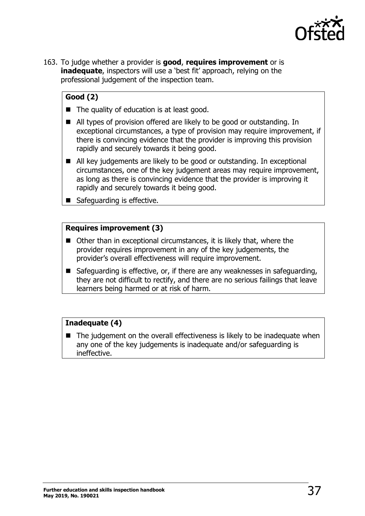

163. To judge whether a provider is **good**, **requires improvement** or is **inadequate**, inspectors will use a 'best fit' approach, relying on the professional judgement of the inspection team.

### **Good (2)**

- The quality of education is at least good.
- All types of provision offered are likely to be good or outstanding. In exceptional circumstances, a type of provision may require improvement, if there is convincing evidence that the provider is improving this provision rapidly and securely towards it being good.
- All key judgements are likely to be good or outstanding. In exceptional circumstances, one of the key judgement areas may require improvement, as long as there is convincing evidence that the provider is improving it rapidly and securely towards it being good.
- Safeguarding is effective.

#### **Requires improvement (3)**

- Other than in exceptional circumstances, it is likely that, where the provider requires improvement in any of the key judgements, the provider's overall effectiveness will require improvement.
- Safeguarding is effective, or, if there are any weaknesses in safeguarding, they are not difficult to rectify, and there are no serious failings that leave learners being harmed or at risk of harm.

#### **Inadequate (4)**

<span id="page-36-0"></span> $\blacksquare$  The judgement on the overall effectiveness is likely to be inadequate when any one of the key judgements is inadequate and/or safeguarding is ineffective.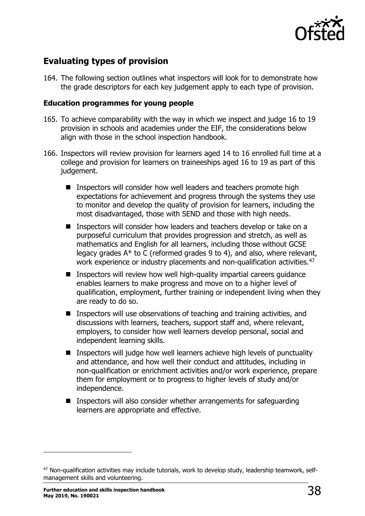

## **Evaluating types of provision**

164. The following section outlines what inspectors will look for to demonstrate how the grade descriptors for each key judgement apply to each type of provision.

#### **Education programmes for young people**

- 165. To achieve comparability with the way in which we inspect and judge 16 to 19 provision in schools and academies under the EIF, the considerations below align with those in the school inspection handbook.
- 166. Inspectors will review provision for learners aged 14 to 16 enrolled full time at a college and provision for learners on traineeships aged 16 to 19 as part of this judgement.
	- Inspectors will consider how well leaders and teachers promote high expectations for achievement and progress through the systems they use to monitor and develop the quality of provision for learners, including the most disadvantaged, those with SEND and those with high needs.
	- Inspectors will consider how leaders and teachers develop or take on a purposeful curriculum that provides progression and stretch, as well as mathematics and English for all learners, including those without GCSE legacy grades A\* to C (reformed grades 9 to 4), and also, where relevant, work experience or industry placements and non-qualification activities.<sup>47</sup>
	- **I** Inspectors will review how well high-quality impartial careers quidance enables learners to make progress and move on to a higher level of qualification, employment, further training or independent living when they are ready to do so.
	- Inspectors will use observations of teaching and training activities, and discussions with learners, teachers, support staff and, where relevant, employers, to consider how well learners develop personal, social and independent learning skills.
	- Inspectors will judge how well learners achieve high levels of punctuality and attendance, and how well their conduct and attitudes, including in non-qualification or enrichment activities and/or work experience, prepare them for employment or to progress to higher levels of study and/or independence.
	- Inspectors will also consider whether arrangements for safeguarding learners are appropriate and effective.

<span id="page-37-0"></span><sup>&</sup>lt;sup>47</sup> Non-qualification activities may include tutorials, work to develop study, leadership teamwork, selfmanagement skills and volunteering.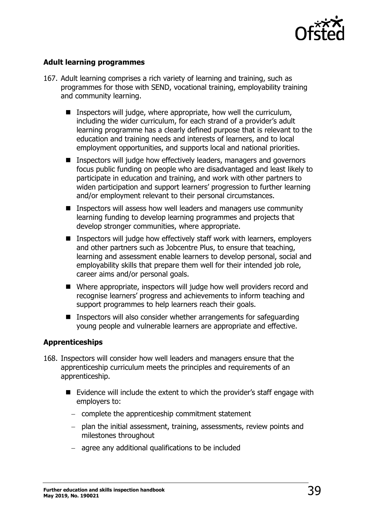

#### **Adult learning programmes**

- 167. Adult learning comprises a rich variety of learning and training, such as programmes for those with SEND, vocational training, employability training and community learning.
	- **I** Inspectors will judge, where appropriate, how well the curriculum, including the wider curriculum, for each strand of a provider's adult learning programme has a clearly defined purpose that is relevant to the education and training needs and interests of learners, and to local employment opportunities, and supports local and national priorities.
	- Inspectors will judge how effectively leaders, managers and governors focus public funding on people who are disadvantaged and least likely to participate in education and training, and work with other partners to widen participation and support learners' progression to further learning and/or employment relevant to their personal circumstances.
	- **IF** Inspectors will assess how well leaders and managers use community learning funding to develop learning programmes and projects that develop stronger communities, where appropriate.
	- **Inspectors will judge how effectively staff work with learners, employers** and other partners such as Jobcentre Plus, to ensure that teaching, learning and assessment enable learners to develop personal, social and employability skills that prepare them well for their intended job role, career aims and/or personal goals.
	- Where appropriate, inspectors will judge how well providers record and recognise learners' progress and achievements to inform teaching and support programmes to help learners reach their goals.
	- **IF** Inspectors will also consider whether arrangements for safeguarding young people and vulnerable learners are appropriate and effective.

#### **Apprenticeships**

- 168. Inspectors will consider how well leaders and managers ensure that the apprenticeship curriculum meets the principles and requirements of an apprenticeship.
	- Evidence will include the extent to which the provider's staff engage with employers to:
		- − complete the apprenticeship commitment statement
		- − plan the initial assessment, training, assessments, review points and milestones throughout
		- − agree any additional qualifications to be included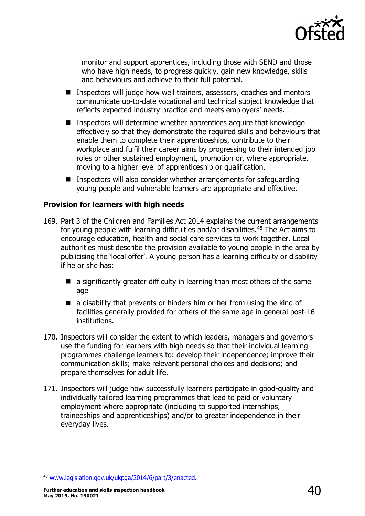

- − monitor and support apprentices, including those with SEND and those who have high needs, to progress quickly, gain new knowledge, skills and behaviours and achieve to their full potential.
- Inspectors will judge how well trainers, assessors, coaches and mentors communicate up-to-date vocational and technical subject knowledge that reflects expected industry practice and meets employers' needs.
- **I** Inspectors will determine whether apprentices acquire that knowledge effectively so that they demonstrate the required skills and behaviours that enable them to complete their apprenticeships, contribute to their workplace and fulfil their career aims by progressing to their intended job roles or other sustained employment, promotion or, where appropriate, moving to a higher level of apprenticeship or qualification.
- Inspectors will also consider whether arrangements for safeguarding young people and vulnerable learners are appropriate and effective.

#### **Provision for learners with high needs**

- 169. Part 3 of the Children and Families Act 2014 explains the current arrangements for young people with learning difficulties and/or disabilities.<sup>[48](#page-39-0)</sup> The Act aims to encourage education, health and social care services to work together. Local authorities must describe the provision available to young people in the area by publicising the 'local offer'. A young person has a learning difficulty or disability if he or she has:
	- $\blacksquare$  a significantly greater difficulty in learning than most others of the same age
	- $\blacksquare$  a disability that prevents or hinders him or her from using the kind of facilities generally provided for others of the same age in general post-16 institutions.
- 170. Inspectors will consider the extent to which leaders, managers and governors use the funding for learners with high needs so that their individual learning programmes challenge learners to: develop their independence; improve their communication skills; make relevant personal choices and decisions; and prepare themselves for adult life.
- 171. Inspectors will judge how successfully learners participate in good-quality and individually tailored learning programmes that lead to paid or voluntary employment where appropriate (including to supported internships, traineeships and apprenticeships) and/or to greater independence in their everyday lives.

<span id="page-39-0"></span><sup>48</sup> [www.legislation.gov.uk/ukpga/2014/6/part/3/enacted.](http://www.legislation.gov.uk/ukpga/2014/6/part/3/enacted)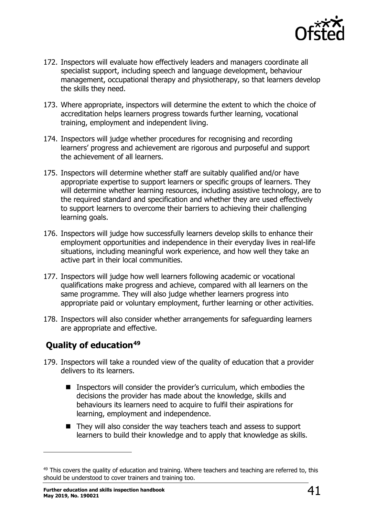

- 172. Inspectors will evaluate how effectively leaders and managers coordinate all specialist support, including speech and language development, behaviour management, occupational therapy and physiotherapy, so that learners develop the skills they need.
- 173. Where appropriate, inspectors will determine the extent to which the choice of accreditation helps learners progress towards further learning, vocational training, employment and independent living.
- 174. Inspectors will judge whether procedures for recognising and recording learners' progress and achievement are rigorous and purposeful and support the achievement of all learners.
- 175. Inspectors will determine whether staff are suitably qualified and/or have appropriate expertise to support learners or specific groups of learners. They will determine whether learning resources, including assistive technology, are to the required standard and specification and whether they are used effectively to support learners to overcome their barriers to achieving their challenging learning goals.
- 176. Inspectors will judge how successfully learners develop skills to enhance their employment opportunities and independence in their everyday lives in real-life situations, including meaningful work experience, and how well they take an active part in their local communities.
- 177. Inspectors will judge how well learners following academic or vocational qualifications make progress and achieve, compared with all learners on the same programme. They will also judge whether learners progress into appropriate paid or voluntary employment, further learning or other activities.
- 178. Inspectors will also consider whether arrangements for safeguarding learners are appropriate and effective.

## <span id="page-40-0"></span>**Quality of education[49](#page-40-1)**

- 179. Inspectors will take a rounded view of the quality of education that a provider delivers to its learners.
	- **I** Inspectors will consider the provider's curriculum, which embodies the decisions the provider has made about the knowledge, skills and behaviours its learners need to acquire to fulfil their aspirations for learning, employment and independence.
	- They will also consider the way teachers teach and assess to support learners to build their knowledge and to apply that knowledge as skills.

<span id="page-40-1"></span><sup>&</sup>lt;sup>49</sup> This covers the quality of education and training. Where teachers and teaching are referred to, this should be understood to cover trainers and training too.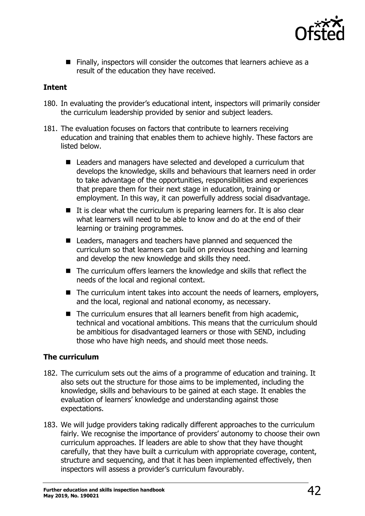

 $\blacksquare$  Finally, inspectors will consider the outcomes that learners achieve as a result of the education they have received.

#### **Intent**

- 180. In evaluating the provider's educational intent, inspectors will primarily consider the curriculum leadership provided by senior and subject leaders.
- 181. The evaluation focuses on factors that contribute to learners receiving education and training that enables them to achieve highly. These factors are listed below.
	- Leaders and managers have selected and developed a curriculum that develops the knowledge, skills and behaviours that learners need in order to take advantage of the opportunities, responsibilities and experiences that prepare them for their next stage in education, training or employment. In this way, it can powerfully address social disadvantage.
	- $\blacksquare$  It is clear what the curriculum is preparing learners for. It is also clear what learners will need to be able to know and do at the end of their learning or training programmes.
	- Leaders, managers and teachers have planned and sequenced the curriculum so that learners can build on previous teaching and learning and develop the new knowledge and skills they need.
	- The curriculum offers learners the knowledge and skills that reflect the needs of the local and regional context.
	- $\blacksquare$  The curriculum intent takes into account the needs of learners, employers, and the local, regional and national economy, as necessary.
	- $\blacksquare$  The curriculum ensures that all learners benefit from high academic, technical and vocational ambitions. This means that the curriculum should be ambitious for disadvantaged learners or those with SEND, including those who have high needs, and should meet those needs.

#### **The curriculum**

- 182. The curriculum sets out the aims of a programme of education and training. It also sets out the structure for those aims to be implemented, including the knowledge, skills and behaviours to be gained at each stage. It enables the evaluation of learners' knowledge and understanding against those expectations.
- 183. We will judge providers taking radically different approaches to the curriculum fairly. We recognise the importance of providers' autonomy to choose their own curriculum approaches. If leaders are able to show that they have thought carefully, that they have built a curriculum with appropriate coverage, content, structure and sequencing, and that it has been implemented effectively, then inspectors will assess a provider's curriculum favourably.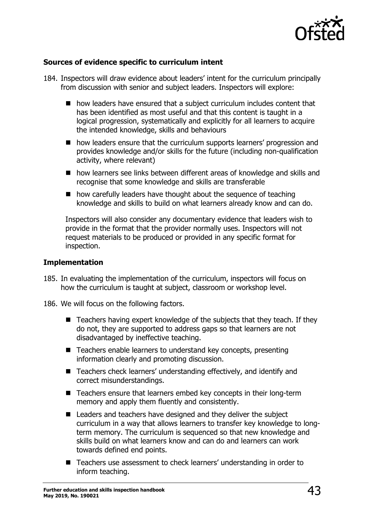

#### **Sources of evidence specific to curriculum intent**

- 184. Inspectors will draw evidence about leaders' intent for the curriculum principally from discussion with senior and subject leaders. Inspectors will explore:
	- how leaders have ensured that a subject curriculum includes content that has been identified as most useful and that this content is taught in a logical progression, systematically and explicitly for all learners to acquire the intended knowledge, skills and behaviours
	- **n** how leaders ensure that the curriculum supports learners' progression and provides knowledge and/or skills for the future (including non-qualification activity, where relevant)
	- how learners see links between different areas of knowledge and skills and recognise that some knowledge and skills are transferable
	- how carefully leaders have thought about the sequence of teaching knowledge and skills to build on what learners already know and can do.

Inspectors will also consider any documentary evidence that leaders wish to provide in the format that the provider normally uses. Inspectors will not request materials to be produced or provided in any specific format for inspection.

#### **Implementation**

- 185. In evaluating the implementation of the curriculum, inspectors will focus on how the curriculum is taught at subject, classroom or workshop level.
- 186. We will focus on the following factors.
	- $\blacksquare$  Teachers having expert knowledge of the subjects that they teach. If they do not, they are supported to address gaps so that learners are not disadvantaged by ineffective teaching.
	- Teachers enable learners to understand key concepts, presenting information clearly and promoting discussion.
	- Teachers check learners' understanding effectively, and identify and correct misunderstandings.
	- Teachers ensure that learners embed key concepts in their long-term memory and apply them fluently and consistently.
	- Leaders and teachers have designed and they deliver the subject curriculum in a way that allows learners to transfer key knowledge to longterm memory. The curriculum is sequenced so that new knowledge and skills build on what learners know and can do and learners can work towards defined end points.
	- Teachers use assessment to check learners' understanding in order to inform teaching.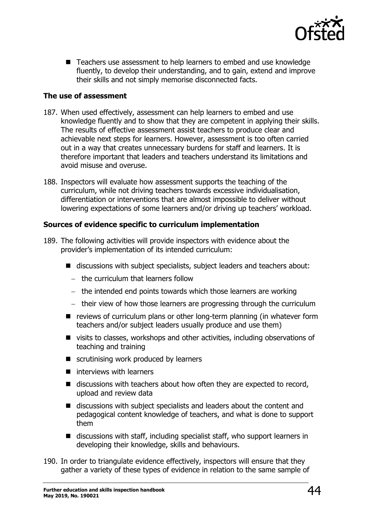

■ Teachers use assessment to help learners to embed and use knowledge fluently, to develop their understanding, and to gain, extend and improve their skills and not simply memorise disconnected facts.

#### **The use of assessment**

- 187. When used effectively, assessment can help learners to embed and use knowledge fluently and to show that they are competent in applying their skills. The results of effective assessment assist teachers to produce clear and achievable next steps for learners. However, assessment is too often carried out in a way that creates unnecessary burdens for staff and learners. It is therefore important that leaders and teachers understand its limitations and avoid misuse and overuse.
- 188. Inspectors will evaluate how assessment supports the teaching of the curriculum, while not driving teachers towards excessive individualisation, differentiation or interventions that are almost impossible to deliver without lowering expectations of some learners and/or driving up teachers' workload.

#### **Sources of evidence specific to curriculum implementation**

- 189. The following activities will provide inspectors with evidence about the provider's implementation of its intended curriculum:
	- discussions with subject specialists, subject leaders and teachers about:
		- − the curriculum that learners follow
		- − the intended end points towards which those learners are working
		- − their view of how those learners are progressing through the curriculum
	- $\blacksquare$  reviews of curriculum plans or other long-term planning (in whatever form teachers and/or subject leaders usually produce and use them)
	- visits to classes, workshops and other activities, including observations of teaching and training
	- scrutinising work produced by learners
	- $\blacksquare$  interviews with learners
	- $\blacksquare$  discussions with teachers about how often they are expected to record, upload and review data
	- discussions with subject specialists and leaders about the content and pedagogical content knowledge of teachers, and what is done to support them
	- discussions with staff, including specialist staff, who support learners in developing their knowledge, skills and behaviours.
- 190. In order to triangulate evidence effectively, inspectors will ensure that they gather a variety of these types of evidence in relation to the same sample of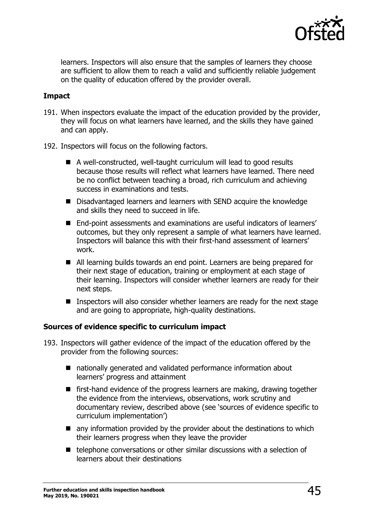

learners. Inspectors will also ensure that the samples of learners they choose are sufficient to allow them to reach a valid and sufficiently reliable judgement on the quality of education offered by the provider overall.

#### **Impact**

- 191. When inspectors evaluate the impact of the education provided by the provider, they will focus on what learners have learned, and the skills they have gained and can apply.
- 192. Inspectors will focus on the following factors.
	- A well-constructed, well-taught curriculum will lead to good results because those results will reflect what learners have learned. There need be no conflict between teaching a broad, rich curriculum and achieving success in examinations and tests.
	- Disadvantaged learners and learners with SEND acquire the knowledge and skills they need to succeed in life.
	- End-point assessments and examinations are useful indicators of learners' outcomes, but they only represent a sample of what learners have learned. Inspectors will balance this with their first-hand assessment of learners' work.
	- All learning builds towards an end point. Learners are being prepared for their next stage of education, training or employment at each stage of their learning. Inspectors will consider whether learners are ready for their next steps.
	- **IF Inspectors will also consider whether learners are ready for the next stage** and are going to appropriate, high-quality destinations.

#### **Sources of evidence specific to curriculum impact**

- 193. Inspectors will gather evidence of the impact of the education offered by the provider from the following sources:
	- nationally generated and validated performance information about learners' progress and attainment
	- **F** first-hand evidence of the progress learners are making, drawing together the evidence from the interviews, observations, work scrutiny and documentary review, described above (see 'sources of evidence specific to curriculum implementation')
	- $\blacksquare$  any information provided by the provider about the destinations to which their learners progress when they leave the provider
	- telephone conversations or other similar discussions with a selection of learners about their destinations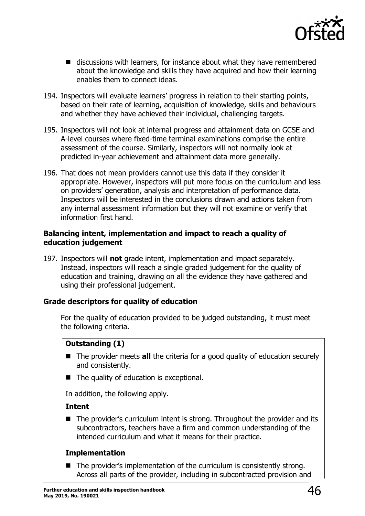

- discussions with learners, for instance about what they have remembered about the knowledge and skills they have acquired and how their learning enables them to connect ideas.
- 194. Inspectors will evaluate learners' progress in relation to their starting points, based on their rate of learning, acquisition of knowledge, skills and behaviours and whether they have achieved their individual, challenging targets.
- 195. Inspectors will not look at internal progress and attainment data on GCSE and A-level courses where fixed-time terminal examinations comprise the entire assessment of the course. Similarly, inspectors will not normally look at predicted in-year achievement and attainment data more generally.
- 196. That does not mean providers cannot use this data if they consider it appropriate. However, inspectors will put more focus on the curriculum and less on providers' generation, analysis and interpretation of performance data. Inspectors will be interested in the conclusions drawn and actions taken from any internal assessment information but they will not examine or verify that information first hand.

#### **Balancing intent, implementation and impact to reach a quality of education judgement**

197. Inspectors will **not** grade intent, implementation and impact separately. Instead, inspectors will reach a single graded judgement for the quality of education and training, drawing on all the evidence they have gathered and using their professional judgement.

#### **Grade descriptors for quality of education**

For the quality of education provided to be judged outstanding, it must meet the following criteria.

## **Outstanding (1)**

- The provider meets **all** the criteria for a good quality of education securely and consistently.
- The quality of education is exceptional.

In addition, the following apply.

#### **Intent**

■ The provider's curriculum intent is strong. Throughout the provider and its subcontractors, teachers have a firm and common understanding of the intended curriculum and what it means for their practice.

#### **Implementation**

■ The provider's implementation of the curriculum is consistently strong. Across all parts of the provider, including in subcontracted provision and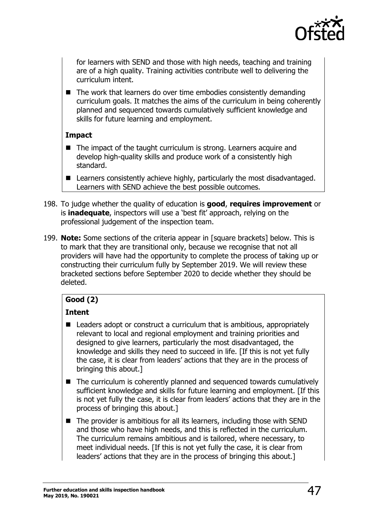

for learners with SEND and those with high needs, teaching and training are of a high quality. Training activities contribute well to delivering the curriculum intent.

■ The work that learners do over time embodies consistently demanding curriculum goals. It matches the aims of the curriculum in being coherently planned and sequenced towards cumulatively sufficient knowledge and skills for future learning and employment.

#### **Impact**

- The impact of the taught curriculum is strong. Learners acquire and develop high-quality skills and produce work of a consistently high standard.
- Learners consistently achieve highly, particularly the most disadvantaged. Learners with SEND achieve the best possible outcomes.
- 198. To judge whether the quality of education is **good**, **requires improvement** or is **inadequate**, inspectors will use a 'best fit' approach, relying on the professional judgement of the inspection team.
- 199. **Note:** Some sections of the criteria appear in [square brackets] below. This is to mark that they are transitional only, because we recognise that not all providers will have had the opportunity to complete the process of taking up or constructing their curriculum fully by September 2019. We will review these bracketed sections before September 2020 to decide whether they should be deleted.

## **Good (2)**

## **Intent**

- $\blacksquare$  Leaders adopt or construct a curriculum that is ambitious, appropriately relevant to local and regional employment and training priorities and designed to give learners, particularly the most disadvantaged, the knowledge and skills they need to succeed in life. [If this is not yet fully the case, it is clear from leaders' actions that they are in the process of bringing this about.]
- The curriculum is coherently planned and sequenced towards cumulatively sufficient knowledge and skills for future learning and employment. [If this is not yet fully the case, it is clear from leaders' actions that they are in the process of bringing this about.]
- $\blacksquare$  The provider is ambitious for all its learners, including those with SEND and those who have high needs, and this is reflected in the curriculum. The curriculum remains ambitious and is tailored, where necessary, to meet individual needs. [If this is not yet fully the case, it is clear from leaders' actions that they are in the process of bringing this about.]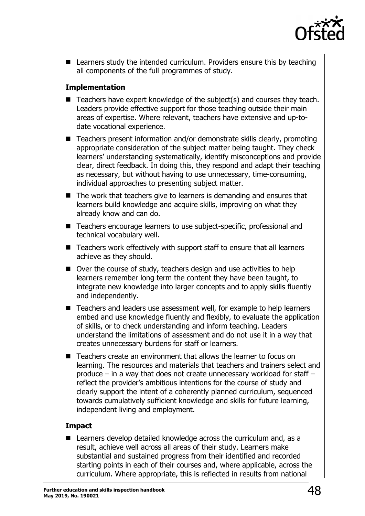

■ Learners study the intended curriculum. Providers ensure this by teaching all components of the full programmes of study.

#### **Implementation**

- $\blacksquare$  Teachers have expert knowledge of the subject(s) and courses they teach. Leaders provide effective support for those teaching outside their main areas of expertise. Where relevant, teachers have extensive and up-todate vocational experience.
- Teachers present information and/or demonstrate skills clearly, promoting appropriate consideration of the subject matter being taught. They check learners' understanding systematically, identify misconceptions and provide clear, direct feedback. In doing this, they respond and adapt their teaching as necessary, but without having to use unnecessary, time-consuming, individual approaches to presenting subject matter.
- The work that teachers give to learners is demanding and ensures that learners build knowledge and acquire skills, improving on what they already know and can do.
- Teachers encourage learners to use subject-specific, professional and technical vocabulary well.
- Teachers work effectively with support staff to ensure that all learners achieve as they should.
- Over the course of study, teachers design and use activities to help learners remember long term the content they have been taught, to integrate new knowledge into larger concepts and to apply skills fluently and independently.
- Teachers and leaders use assessment well, for example to help learners embed and use knowledge fluently and flexibly, to evaluate the application of skills, or to check understanding and inform teaching. Leaders understand the limitations of assessment and do not use it in a way that creates unnecessary burdens for staff or learners.
- Teachers create an environment that allows the learner to focus on learning. The resources and materials that teachers and trainers select and produce – in a way that does not create unnecessary workload for staff – reflect the provider's ambitious intentions for the course of study and clearly support the intent of a coherently planned curriculum, sequenced towards cumulatively sufficient knowledge and skills for future learning, independent living and employment.

#### **Impact**

■ Learners develop detailed knowledge across the curriculum and, as a result, achieve well across all areas of their study. Learners make substantial and sustained progress from their identified and recorded starting points in each of their courses and, where applicable, across the curriculum. Where appropriate, this is reflected in results from national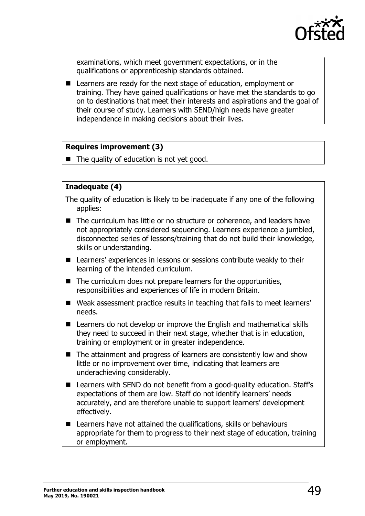

examinations, which meet government expectations, or in the qualifications or apprenticeship standards obtained.

■ Learners are ready for the next stage of education, employment or training. They have gained qualifications or have met the standards to go on to destinations that meet their interests and aspirations and the goal of their course of study. Learners with SEND/high needs have greater independence in making decisions about their lives.

#### **Requires improvement (3)**

 $\blacksquare$  The quality of education is not yet good.

#### **Inadequate (4)**

- The quality of education is likely to be inadequate if any one of the following applies:
- The curriculum has little or no structure or coherence, and leaders have not appropriately considered sequencing. Learners experience a jumbled, disconnected series of lessons/training that do not build their knowledge, skills or understanding.
- Learners' experiences in lessons or sessions contribute weakly to their learning of the intended curriculum.
- $\blacksquare$  The curriculum does not prepare learners for the opportunities, responsibilities and experiences of life in modern Britain.
- Weak assessment practice results in teaching that fails to meet learners' needs.
- **E** Learners do not develop or improve the English and mathematical skills they need to succeed in their next stage, whether that is in education, training or employment or in greater independence.
- The attainment and progress of learners are consistently low and show little or no improvement over time, indicating that learners are underachieving considerably.
- Learners with SEND do not benefit from a good-quality education. Staff's expectations of them are low. Staff do not identify learners' needs accurately, and are therefore unable to support learners' development effectively.
- Learners have not attained the qualifications, skills or behaviours appropriate for them to progress to their next stage of education, training or employment.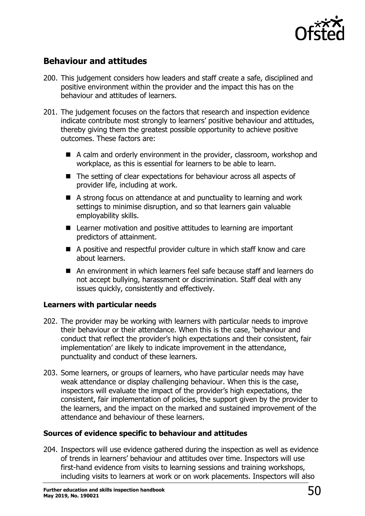

## <span id="page-49-0"></span>**Behaviour and attitudes**

- 200. This judgement considers how leaders and staff create a safe, disciplined and positive environment within the provider and the impact this has on the behaviour and attitudes of learners.
- 201. The judgement focuses on the factors that research and inspection evidence indicate contribute most strongly to learners' positive behaviour and attitudes, thereby giving them the greatest possible opportunity to achieve positive outcomes. These factors are:
	- A calm and orderly environment in the provider, classroom, workshop and workplace, as this is essential for learners to be able to learn.
	- The setting of clear expectations for behaviour across all aspects of provider life, including at work.
	- A strong focus on attendance at and punctuality to learning and work settings to minimise disruption, and so that learners gain valuable employability skills.
	- Learner motivation and positive attitudes to learning are important predictors of attainment.
	- A positive and respectful provider culture in which staff know and care about learners.
	- An environment in which learners feel safe because staff and learners do not accept bullying, harassment or discrimination. Staff deal with any issues quickly, consistently and effectively.

#### **Learners with particular needs**

- 202. The provider may be working with learners with particular needs to improve their behaviour or their attendance. When this is the case, 'behaviour and conduct that reflect the provider's high expectations and their consistent, fair implementation' are likely to indicate improvement in the attendance, punctuality and conduct of these learners.
- 203. Some learners, or groups of learners, who have particular needs may have weak attendance or display challenging behaviour. When this is the case, inspectors will evaluate the impact of the provider's high expectations, the consistent, fair implementation of policies, the support given by the provider to the learners, and the impact on the marked and sustained improvement of the attendance and behaviour of these learners.

#### **Sources of evidence specific to behaviour and attitudes**

204. Inspectors will use evidence gathered during the inspection as well as evidence of trends in learners' behaviour and attitudes over time. Inspectors will use first-hand evidence from visits to learning sessions and training workshops, including visits to learners at work or on work placements. Inspectors will also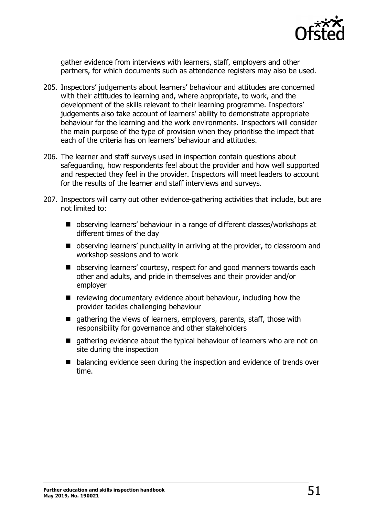

gather evidence from interviews with learners, staff, employers and other partners, for which documents such as attendance registers may also be used.

- 205. Inspectors' judgements about learners' behaviour and attitudes are concerned with their attitudes to learning and, where appropriate, to work, and the development of the skills relevant to their learning programme. Inspectors' judgements also take account of learners' ability to demonstrate appropriate behaviour for the learning and the work environments. Inspectors will consider the main purpose of the type of provision when they prioritise the impact that each of the criteria has on learners' behaviour and attitudes.
- 206. The learner and staff surveys used in inspection contain questions about safeguarding, how respondents feel about the provider and how well supported and respected they feel in the provider. Inspectors will meet leaders to account for the results of the learner and staff interviews and surveys.
- 207. Inspectors will carry out other evidence-gathering activities that include, but are not limited to:
	- observing learners' behaviour in a range of different classes/workshops at different times of the day
	- observing learners' punctuality in arriving at the provider, to classroom and workshop sessions and to work
	- observing learners' courtesy, respect for and good manners towards each other and adults, and pride in themselves and their provider and/or employer
	- $\blacksquare$  reviewing documentary evidence about behaviour, including how the provider tackles challenging behaviour
	- $\blacksquare$  gathering the views of learners, employers, parents, staff, those with responsibility for governance and other stakeholders
	- $\blacksquare$  gathering evidence about the typical behaviour of learners who are not on site during the inspection
	- balancing evidence seen during the inspection and evidence of trends over time.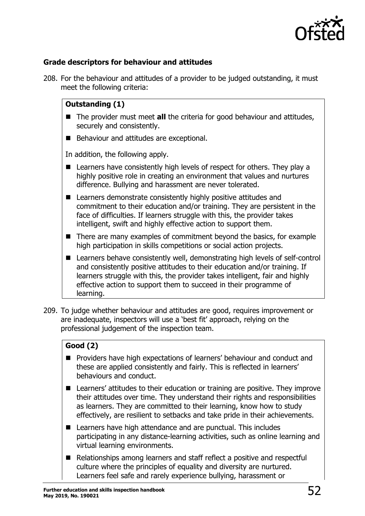

#### **Grade descriptors for behaviour and attitudes**

208. For the behaviour and attitudes of a provider to be judged outstanding, it must meet the following criteria:

#### **Outstanding (1)**

- The provider must meet **all** the criteria for good behaviour and attitudes, securely and consistently.
- Behaviour and attitudes are exceptional.

In addition, the following apply.

- Learners have consistently high levels of respect for others. They play a highly positive role in creating an environment that values and nurtures difference. Bullying and harassment are never tolerated.
- Learners demonstrate consistently highly positive attitudes and commitment to their education and/or training. They are persistent in the face of difficulties. If learners struggle with this, the provider takes intelligent, swift and highly effective action to support them.
- $\blacksquare$  There are many examples of commitment beyond the basics, for example high participation in skills competitions or social action projects.
- Learners behave consistently well, demonstrating high levels of self-control and consistently positive attitudes to their education and/or training. If learners struggle with this, the provider takes intelligent, fair and highly effective action to support them to succeed in their programme of learning.
- 209. To judge whether behaviour and attitudes are good, requires improvement or are inadequate, inspectors will use a 'best fit' approach, relying on the professional judgement of the inspection team.

#### **Good (2)**

- **Providers have high expectations of learners' behaviour and conduct and** these are applied consistently and fairly. This is reflected in learners' behaviours and conduct.
- Learners' attitudes to their education or training are positive. They improve their attitudes over time. They understand their rights and responsibilities as learners. They are committed to their learning, know how to study effectively, are resilient to setbacks and take pride in their achievements.
- Learners have high attendance and are punctual. This includes participating in any distance-learning activities, such as online learning and virtual learning environments.
- Relationships among learners and staff reflect a positive and respectful culture where the principles of equality and diversity are nurtured. Learners feel safe and rarely experience bullying, harassment or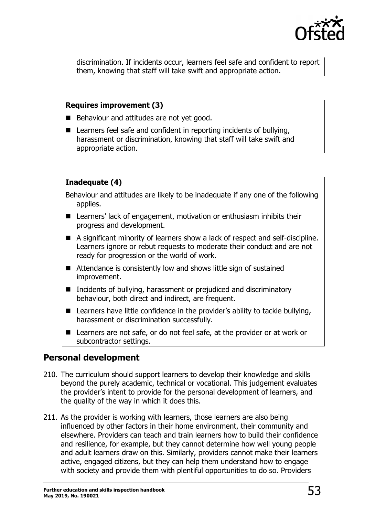

discrimination. If incidents occur, learners feel safe and confident to report them, knowing that staff will take swift and appropriate action.

#### **Requires improvement (3)**

- Behaviour and attitudes are not yet good.
- Learners feel safe and confident in reporting incidents of bullying, harassment or discrimination, knowing that staff will take swift and appropriate action.

#### **Inadequate (4)**

Behaviour and attitudes are likely to be inadequate if any one of the following applies.

- Learners' lack of engagement, motivation or enthusiasm inhibits their progress and development.
- A significant minority of learners show a lack of respect and self-discipline. Learners ignore or rebut requests to moderate their conduct and are not ready for progression or the world of work.
- Attendance is consistently low and shows little sign of sustained improvement.
- Incidents of bullying, harassment or prejudiced and discriminatory behaviour, both direct and indirect, are frequent.
- Learners have little confidence in the provider's ability to tackle bullying, harassment or discrimination successfully.
- Learners are not safe, or do not feel safe, at the provider or at work or subcontractor settings.

## <span id="page-52-0"></span>**Personal development**

- 210. The curriculum should support learners to develop their knowledge and skills beyond the purely academic, technical or vocational. This judgement evaluates the provider's intent to provide for the personal development of learners, and the quality of the way in which it does this.
- 211. As the provider is working with learners, those learners are also being influenced by other factors in their home environment, their community and elsewhere. Providers can teach and train learners how to build their confidence and resilience, for example, but they cannot determine how well young people and adult learners draw on this. Similarly, providers cannot make their learners active, engaged citizens, but they can help them understand how to engage with society and provide them with plentiful opportunities to do so. Providers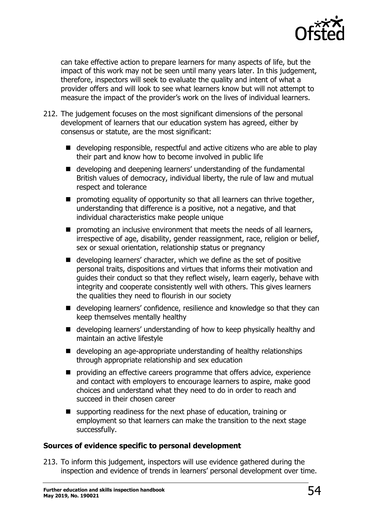

can take effective action to prepare learners for many aspects of life, but the impact of this work may not be seen until many years later. In this judgement, therefore, inspectors will seek to evaluate the quality and intent of what a provider offers and will look to see what learners know but will not attempt to measure the impact of the provider's work on the lives of individual learners.

- 212. The judgement focuses on the most significant dimensions of the personal development of learners that our education system has agreed, either by consensus or statute, are the most significant:
	- developing responsible, respectful and active citizens who are able to play their part and know how to become involved in public life
	- developing and deepening learners' understanding of the fundamental British values of democracy, individual liberty, the rule of law and mutual respect and tolerance
	- $\blacksquare$  promoting equality of opportunity so that all learners can thrive together, understanding that difference is a positive, not a negative, and that individual characteristics make people unique
	- **P** promoting an inclusive environment that meets the needs of all learners, irrespective of age, disability, gender reassignment, race, religion or belief, sex or sexual orientation, relationship status or pregnancy
	- developing learners' character, which we define as the set of positive personal traits, dispositions and virtues that informs their motivation and guides their conduct so that they reflect wisely, learn eagerly, behave with integrity and cooperate consistently well with others. This gives learners the qualities they need to flourish in our society
	- developing learners' confidence, resilience and knowledge so that they can keep themselves mentally healthy
	- developing learners' understanding of how to keep physically healthy and maintain an active lifestyle
	- developing an age-appropriate understanding of healthy relationships through appropriate relationship and sex education
	- $\blacksquare$  providing an effective careers programme that offers advice, experience and contact with employers to encourage learners to aspire, make good choices and understand what they need to do in order to reach and succeed in their chosen career
	- supporting readiness for the next phase of education, training or employment so that learners can make the transition to the next stage successfully.

#### **Sources of evidence specific to personal development**

213. To inform this judgement, inspectors will use evidence gathered during the inspection and evidence of trends in learners' personal development over time.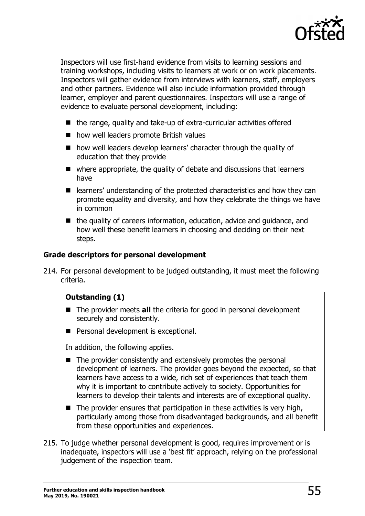

Inspectors will use first-hand evidence from visits to learning sessions and training workshops, including visits to learners at work or on work placements. Inspectors will gather evidence from interviews with learners, staff, employers and other partners. Evidence will also include information provided through learner, employer and parent questionnaires. Inspectors will use a range of evidence to evaluate personal development, including:

- the range, quality and take-up of extra-curricular activities offered
- how well leaders promote British values
- how well leaders develop learners' character through the quality of education that they provide
- where appropriate, the quality of debate and discussions that learners have
- learners' understanding of the protected characteristics and how they can promote equality and diversity, and how they celebrate the things we have in common
- $\blacksquare$  the quality of careers information, education, advice and guidance, and how well these benefit learners in choosing and deciding on their next steps.

#### **Grade descriptors for personal development**

214. For personal development to be judged outstanding, it must meet the following criteria.

#### **Outstanding (1)**

- The provider meets **all** the criteria for good in personal development securely and consistently.
- **Personal development is exceptional.**

In addition, the following applies.

- $\blacksquare$  The provider consistently and extensively promotes the personal development of learners. The provider goes beyond the expected, so that learners have access to a wide, rich set of experiences that teach them why it is important to contribute actively to society. Opportunities for learners to develop their talents and interests are of exceptional quality.
- $\blacksquare$  The provider ensures that participation in these activities is very high, particularly among those from disadvantaged backgrounds, and all benefit from these opportunities and experiences.
- 215. To judge whether personal development is good, requires improvement or is inadequate, inspectors will use a 'best fit' approach, relying on the professional judgement of the inspection team.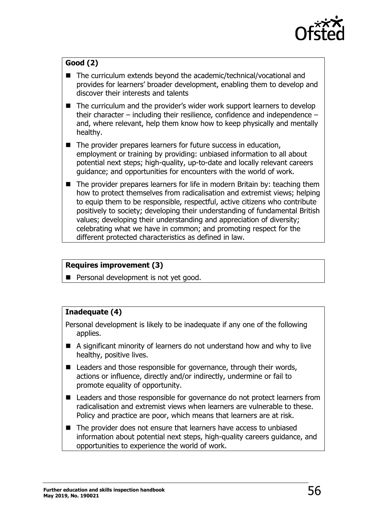

## **Good (2)**

- The curriculum extends beyond the academic/technical/vocational and provides for learners' broader development, enabling them to develop and discover their interests and talents
- The curriculum and the provider's wider work support learners to develop their character – including their resilience, confidence and independence – and, where relevant, help them know how to keep physically and mentally healthy.
- $\blacksquare$  The provider prepares learners for future success in education, employment or training by providing: unbiased information to all about potential next steps; high-quality, up-to-date and locally relevant careers guidance; and opportunities for encounters with the world of work.
- The provider prepares learners for life in modern Britain by: teaching them how to protect themselves from radicalisation and extremist views; helping to equip them to be responsible, respectful, active citizens who contribute positively to society; developing their understanding of fundamental British values; developing their understanding and appreciation of diversity; celebrating what we have in common; and promoting respect for the different protected characteristics as defined in law.

#### **Requires improvement (3)**

**Personal development is not yet good.** 

#### **Inadequate (4)**

Personal development is likely to be inadequate if any one of the following applies.

- A significant minority of learners do not understand how and why to live healthy, positive lives.
- Leaders and those responsible for governance, through their words, actions or influence, directly and/or indirectly, undermine or fail to promote equality of opportunity.
- Leaders and those responsible for governance do not protect learners from radicalisation and extremist views when learners are vulnerable to these. Policy and practice are poor, which means that learners are at risk.
- The provider does not ensure that learners have access to unbiased information about potential next steps, high-quality careers guidance, and opportunities to experience the world of work.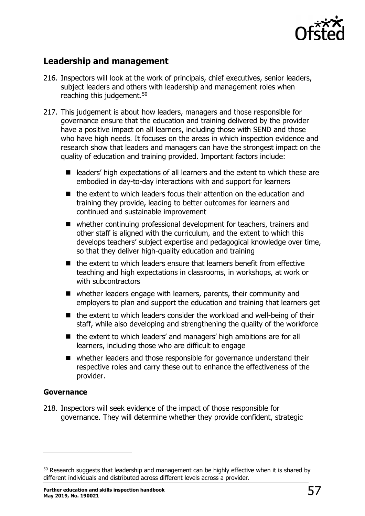

## <span id="page-56-0"></span>**Leadership and management**

- 216. Inspectors will look at the work of principals, chief executives, senior leaders, subject leaders and others with leadership and management roles when reaching this judgement.<sup>[50](#page-56-1)</sup>
- 217. This judgement is about how leaders, managers and those responsible for governance ensure that the education and training delivered by the provider have a positive impact on all learners, including those with SEND and those who have high needs. It focuses on the areas in which inspection evidence and research show that leaders and managers can have the strongest impact on the quality of education and training provided. Important factors include:
	- leaders' high expectations of all learners and the extent to which these are embodied in day-to-day interactions with and support for learners
	- the extent to which leaders focus their attention on the education and training they provide, leading to better outcomes for learners and continued and sustainable improvement
	- whether continuing professional development for teachers, trainers and other staff is aligned with the curriculum, and the extent to which this develops teachers' subject expertise and pedagogical knowledge over time, so that they deliver high-quality education and training
	- $\blacksquare$  the extent to which leaders ensure that learners benefit from effective teaching and high expectations in classrooms, in workshops, at work or with subcontractors
	- whether leaders engage with learners, parents, their community and employers to plan and support the education and training that learners get
	- $\blacksquare$  the extent to which leaders consider the workload and well-being of their staff, while also developing and strengthening the quality of the workforce
	- the extent to which leaders' and managers' high ambitions are for all learners, including those who are difficult to engage
	- whether leaders and those responsible for governance understand their respective roles and carry these out to enhance the effectiveness of the provider.

#### **Governance**

ł

218. Inspectors will seek evidence of the impact of those responsible for governance. They will determine whether they provide confident, strategic

<span id="page-56-1"></span><sup>&</sup>lt;sup>50</sup> Research suggests that leadership and management can be highly effective when it is shared by different individuals and distributed across different levels across a provider.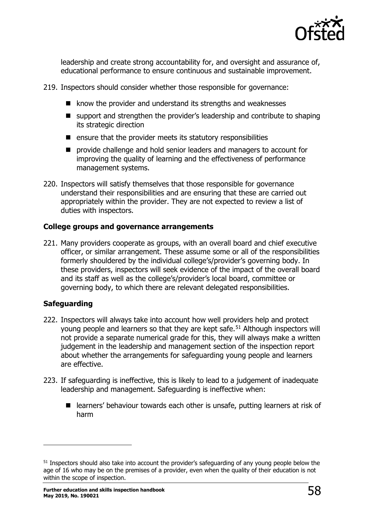

leadership and create strong accountability for, and oversight and assurance of, educational performance to ensure continuous and sustainable improvement.

- 219. Inspectors should consider whether those responsible for governance:
	- know the provider and understand its strengths and weaknesses
	- support and strengthen the provider's leadership and contribute to shaping its strategic direction
	- $\blacksquare$  ensure that the provider meets its statutory responsibilities
	- **P** provide challenge and hold senior leaders and managers to account for improving the quality of learning and the effectiveness of performance management systems.
- 220. Inspectors will satisfy themselves that those responsible for governance understand their responsibilities and are ensuring that these are carried out appropriately within the provider. They are not expected to review a list of duties with inspectors.

#### **College groups and governance arrangements**

221. Many providers cooperate as groups, with an overall board and chief executive officer, or similar arrangement. These assume some or all of the responsibilities formerly shouldered by the individual college's/provider's governing body. In these providers, inspectors will seek evidence of the impact of the overall board and its staff as well as the college's/provider's local board, committee or governing body, to which there are relevant delegated responsibilities.

#### **Safeguarding**

- 222. Inspectors will always take into account how well providers help and protect young people and learners so that they are kept safe.<sup>[51](#page-57-0)</sup> Although inspectors will not provide a separate numerical grade for this, they will always make a written judgement in the leadership and management section of the inspection report about whether the arrangements for safeguarding young people and learners are effective.
- 223. If safeguarding is ineffective, this is likely to lead to a judgement of inadequate leadership and management. Safeguarding is ineffective when:
	- learners' behaviour towards each other is unsafe, putting learners at risk of harm

<span id="page-57-0"></span><sup>51</sup> Inspectors should also take into account the provider's safeguarding of any young people below the age of 16 who may be on the premises of a provider, even when the quality of their education is not within the scope of inspection.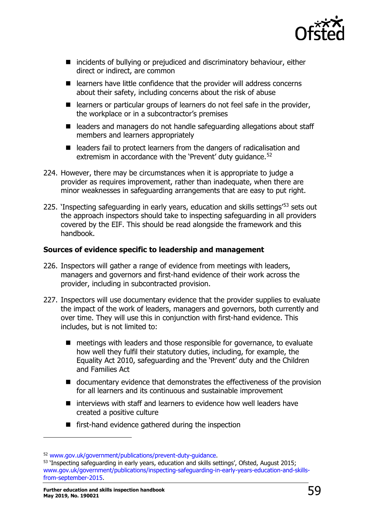

- incidents of bullying or prejudiced and discriminatory behaviour, either direct or indirect, are common
- $\blacksquare$  learners have little confidence that the provider will address concerns about their safety, including concerns about the risk of abuse
- $\blacksquare$  learners or particular groups of learners do not feel safe in the provider, the workplace or in a subcontractor's premises
- leaders and managers do not handle safeguarding allegations about staff members and learners appropriately
- $\blacksquare$  leaders fail to protect learners from the dangers of radicalisation and extremism in accordance with the 'Prevent' duty guidance.<sup>[52](#page-58-0)</sup>
- 224. However, there may be circumstances when it is appropriate to judge a provider as requires improvement, rather than inadequate, when there are minor weaknesses in safeguarding arrangements that are easy to put right.
- 225. 'Inspecting safeguarding in early years, education and skills settings<sup>'[53](#page-58-1)</sup> sets out the approach inspectors should take to inspecting safeguarding in all providers covered by the EIF. This should be read alongside the framework and this handbook.

#### **Sources of evidence specific to leadership and management**

- 226. Inspectors will gather a range of evidence from meetings with leaders, managers and governors and first-hand evidence of their work across the provider, including in subcontracted provision.
- 227. Inspectors will use documentary evidence that the provider supplies to evaluate the impact of the work of leaders, managers and governors, both currently and over time. They will use this in conjunction with first-hand evidence. This includes, but is not limited to:
	- meetings with leaders and those responsible for governance, to evaluate how well they fulfil their statutory duties, including, for example, the Equality Act 2010, safeguarding and the 'Prevent' duty and the Children and Families Act
	- documentary evidence that demonstrates the effectiveness of the provision for all learners and its continuous and sustainable improvement
	- $\blacksquare$  interviews with staff and learners to evidence how well leaders have created a positive culture
	- $\blacksquare$  first-hand evidence gathered during the inspection

<span id="page-58-1"></span><span id="page-58-0"></span> $52$  [www.gov.uk/government/publications/prevent-duty-guidance.](http://www.gov.uk/government/publications/prevent-duty-guidance)<br> $53$  'Inspecting safeguarding in early years, education and skills settings', Ofsted, August 2015; [www.gov.uk/government/publications/inspecting-safeguarding-in-early-years-education-and-skills](http://www.gov.uk/government/publications/inspecting-safeguarding-in-early-years-education-and-skills-from-september-2015)[from-september-2015.](http://www.gov.uk/government/publications/inspecting-safeguarding-in-early-years-education-and-skills-from-september-2015)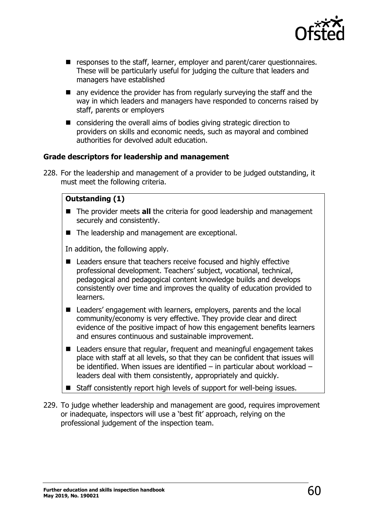

- **E** responses to the staff, learner, employer and parent/carer questionnaires. These will be particularly useful for judging the culture that leaders and managers have established
- $\blacksquare$  any evidence the provider has from regularly surveying the staff and the way in which leaders and managers have responded to concerns raised by staff, parents or employers
- considering the overall aims of bodies giving strategic direction to providers on skills and economic needs, such as mayoral and combined authorities for devolved adult education.

#### **Grade descriptors for leadership and management**

228. For the leadership and management of a provider to be judged outstanding, it must meet the following criteria.

#### **Outstanding (1)**

- The provider meets **all** the criteria for good leadership and management securely and consistently.
- The leadership and management are exceptional.

In addition, the following apply.

- Leaders ensure that teachers receive focused and highly effective professional development. Teachers' subject, vocational, technical, pedagogical and pedagogical content knowledge builds and develops consistently over time and improves the quality of education provided to learners.
- Leaders' engagement with learners, employers, parents and the local community/economy is very effective. They provide clear and direct evidence of the positive impact of how this engagement benefits learners and ensures continuous and sustainable improvement.
- Leaders ensure that regular, frequent and meaningful engagement takes place with staff at all levels, so that they can be confident that issues will be identified. When issues are identified – in particular about workload – leaders deal with them consistently, appropriately and quickly.
- Staff consistently report high levels of support for well-being issues.
- 229. To judge whether leadership and management are good, requires improvement or inadequate, inspectors will use a 'best fit' approach, relying on the professional judgement of the inspection team.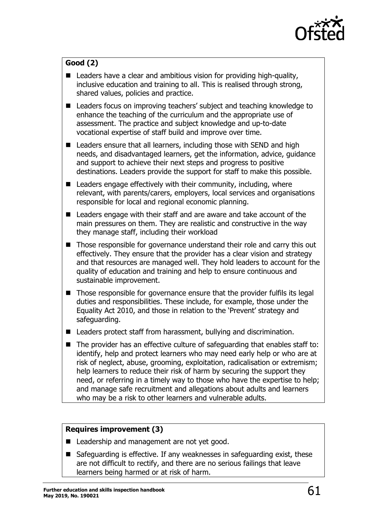

## **Good (2)**

- $\blacksquare$  Leaders have a clear and ambitious vision for providing high-quality, inclusive education and training to all. This is realised through strong, shared values, policies and practice.
- Leaders focus on improving teachers' subject and teaching knowledge to enhance the teaching of the curriculum and the appropriate use of assessment. The practice and subject knowledge and up-to-date vocational expertise of staff build and improve over time.
- Leaders ensure that all learners, including those with SEND and high needs, and disadvantaged learners, get the information, advice, guidance and support to achieve their next steps and progress to positive destinations. Leaders provide the support for staff to make this possible.
- $\blacksquare$  Leaders engage effectively with their community, including, where relevant, with parents/carers, employers, local services and organisations responsible for local and regional economic planning.
- Leaders engage with their staff and are aware and take account of the main pressures on them. They are realistic and constructive in the way they manage staff, including their workload
- Those responsible for governance understand their role and carry this out effectively. They ensure that the provider has a clear vision and strategy and that resources are managed well. They hold leaders to account for the quality of education and training and help to ensure continuous and sustainable improvement.
- Those responsible for governance ensure that the provider fulfils its legal duties and responsibilities. These include, for example, those under the Equality Act 2010, and those in relation to the 'Prevent' strategy and safeguarding.
- Leaders protect staff from harassment, bullying and discrimination.
- $\blacksquare$  The provider has an effective culture of safeguarding that enables staff to: identify, help and protect learners who may need early help or who are at risk of neglect, abuse, grooming, exploitation, radicalisation or extremism; help learners to reduce their risk of harm by securing the support they need, or referring in a timely way to those who have the expertise to help; and manage safe recruitment and allegations about adults and learners who may be a risk to other learners and vulnerable adults.

#### **Requires improvement (3)**

- Leadership and management are not vet good.
- $\blacksquare$  Safeguarding is effective. If any weaknesses in safeguarding exist, these are not difficult to rectify, and there are no serious failings that leave learners being harmed or at risk of harm.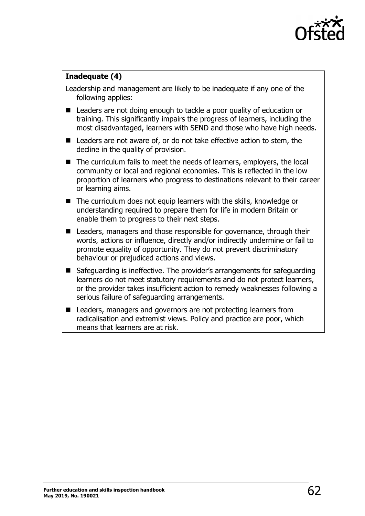

#### **Inadequate (4)**

Leadership and management are likely to be inadequate if any one of the following applies:

- Leaders are not doing enough to tackle a poor quality of education or training. This significantly impairs the progress of learners, including the most disadvantaged, learners with SEND and those who have high needs.
- Leaders are not aware of, or do not take effective action to stem, the decline in the quality of provision.
- The curriculum fails to meet the needs of learners, employers, the local community or local and regional economies. This is reflected in the low proportion of learners who progress to destinations relevant to their career or learning aims.
- The curriculum does not equip learners with the skills, knowledge or understanding required to prepare them for life in modern Britain or enable them to progress to their next steps.
- Leaders, managers and those responsible for governance, through their words, actions or influence, directly and/or indirectly undermine or fail to promote equality of opportunity. They do not prevent discriminatory behaviour or prejudiced actions and views.
- Safeguarding is ineffective. The provider's arrangements for safeguarding learners do not meet statutory requirements and do not protect learners, or the provider takes insufficient action to remedy weaknesses following a serious failure of safeguarding arrangements.
- Leaders, managers and governors are not protecting learners from radicalisation and extremist views. Policy and practice are poor, which means that learners are at risk.